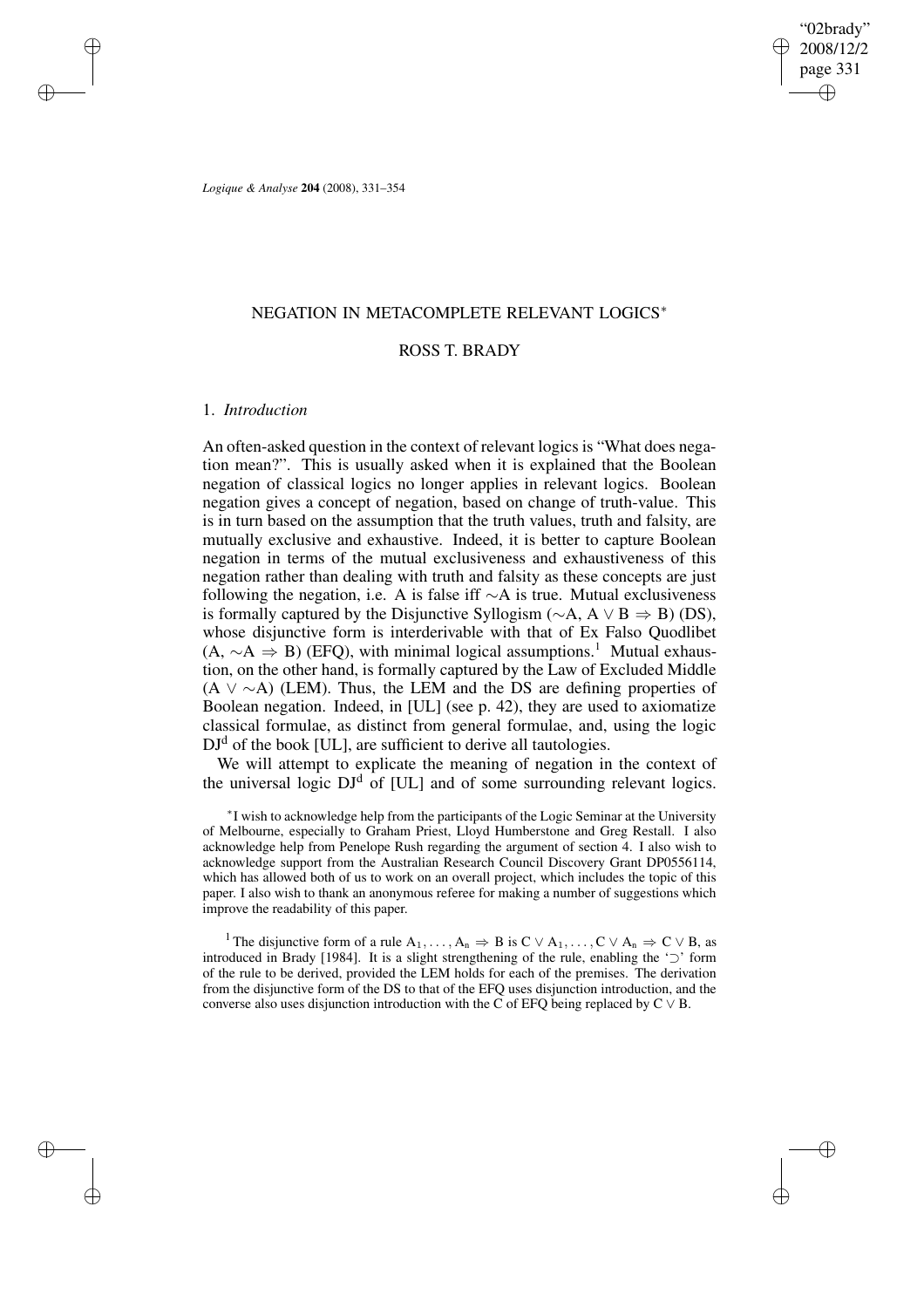"02brady" 2008/12/2 page 331 ✐ ✐

✐

✐

*Logique & Analyse* **204** (2008), 331–354

# NEGATION IN METACOMPLETE RELEVANT LOGICS<sup>∗</sup>

# ROSS T. BRADY

## 1. *Introduction*

✐

✐

✐

✐

An often-asked question in the context of relevant logics is "What does negation mean?". This is usually asked when it is explained that the Boolean negation of classical logics no longer applies in relevant logics. Boolean negation gives a concept of negation, based on change of truth-value. This is in turn based on the assumption that the truth values, truth and falsity, are mutually exclusive and exhaustive. Indeed, it is better to capture Boolean negation in terms of the mutual exclusiveness and exhaustiveness of this negation rather than dealing with truth and falsity as these concepts are just following the negation, i.e. A is false iff  $\sim$ A is true. Mutual exclusiveness is formally captured by the Disjunctive Syllogism ( $\sim$ A, A  $\vee$  B  $\Rightarrow$  B) (DS), whose disjunctive form is interderivable with that of Ex Falso Quodlibet  $(A, \sim A \Rightarrow B)$  (EFQ), with minimal logical assumptions.<sup>1</sup> Mutual exhaustion, on the other hand, is formally captured by the Law of Excluded Middle  $(A \vee \sim A)$  (LEM). Thus, the LEM and the DS are defining properties of Boolean negation. Indeed, in [UL] (see p. 42), they are used to axiomatize classical formulae, as distinct from general formulae, and, using the logic  $DJ<sup>d</sup>$  of the book [UL], are sufficient to derive all tautologies.

We will attempt to explicate the meaning of negation in the context of the universal logic  $DJ<sup>d</sup>$  of [UL] and of some surrounding relevant logics.

∗ I wish to acknowledge help from the participants of the Logic Seminar at the University of Melbourne, especially to Graham Priest, Lloyd Humberstone and Greg Restall. I also acknowledge help from Penelope Rush regarding the argument of section 4. I also wish to acknowledge support from the Australian Research Council Discovery Grant DP0556114, which has allowed both of us to work on an overall project, which includes the topic of this paper. I also wish to thank an anonymous referee for making a number of suggestions which improve the readability of this paper.

<sup>1</sup> The disjunctive form of a rule  $A_1, \ldots, A_n \Rightarrow B$  is  $C \vee A_1, \ldots, C \vee A_n \Rightarrow C \vee B$ , as introduced in Brady [1984]. It is a slight strengthening of the rule, enabling the '⊃' form of the rule to be derived, provided the LEM holds for each of the premises. The derivation from the disjunctive form of the DS to that of the EFQ uses disjunction introduction, and the converse also uses disjunction introduction with the C of EFQ being replaced by  $C \vee B$ .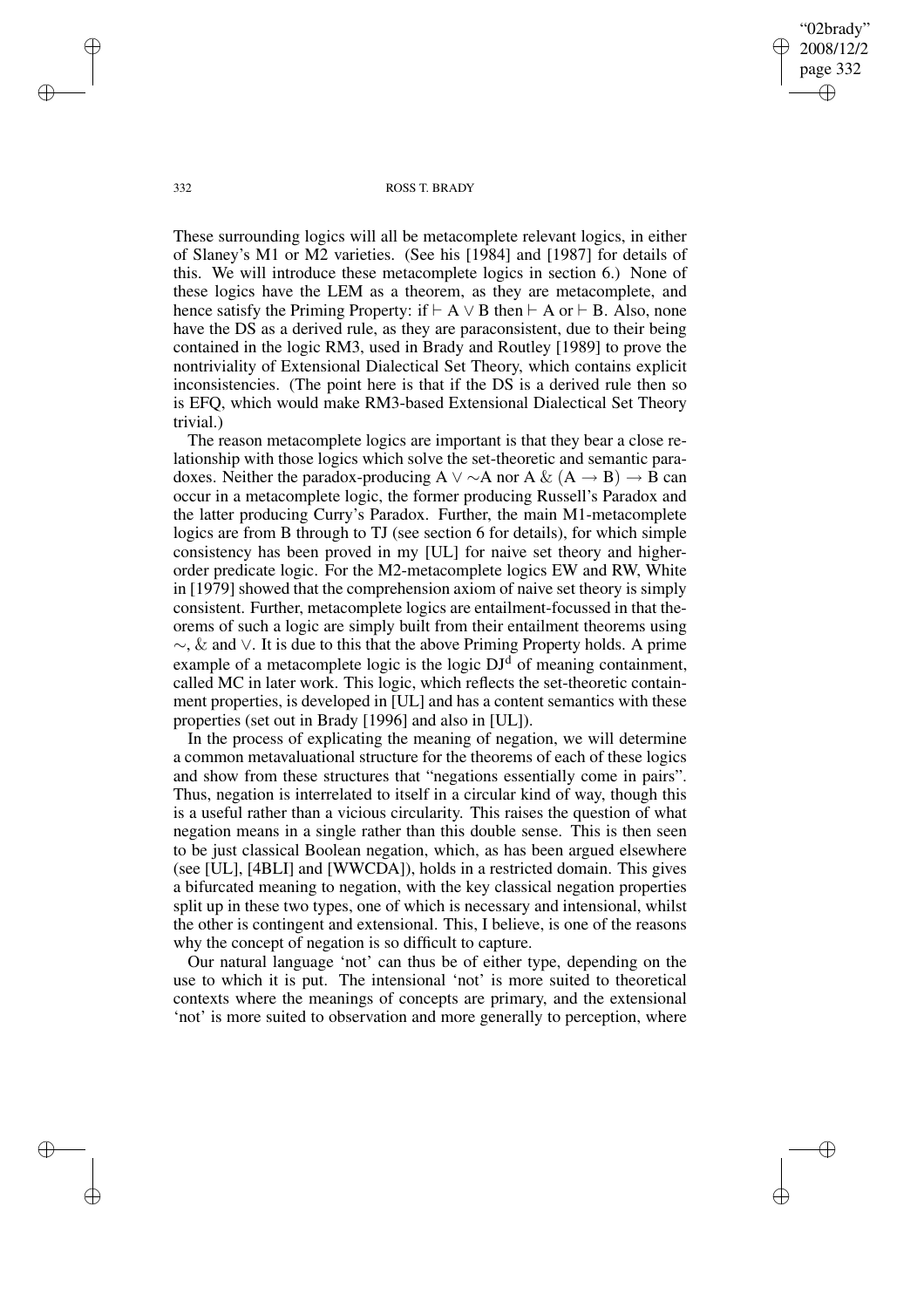"02brady" 2008/12/2 page 332 ✐ ✐

✐

✐

### 332 ROSS T. BRADY

These surrounding logics will all be metacomplete relevant logics, in either of Slaney's M1 or M2 varieties. (See his [1984] and [1987] for details of this. We will introduce these metacomplete logics in section 6.) None of these logics have the LEM as a theorem, as they are metacomplete, and hence satisfy the Priming Property: if  $\vdash A \lor B$  then  $\vdash A$  or  $\vdash B$ . Also, none have the DS as a derived rule, as they are paraconsistent, due to their being contained in the logic RM3, used in Brady and Routley [1989] to prove the nontriviality of Extensional Dialectical Set Theory, which contains explicit inconsistencies. (The point here is that if the DS is a derived rule then so is EFQ, which would make RM3-based Extensional Dialectical Set Theory trivial.)

The reason metacomplete logics are important is that they bear a close relationship with those logics which solve the set-theoretic and semantic paradoxes. Neither the paradox-producing A  $\vee \sim A$  nor A & (A  $\rightarrow$  B)  $\rightarrow$  B can occur in a metacomplete logic, the former producing Russell's Paradox and the latter producing Curry's Paradox. Further, the main M1-metacomplete logics are from B through to TJ (see section 6 for details), for which simple consistency has been proved in my [UL] for naive set theory and higherorder predicate logic. For the M2-metacomplete logics EW and RW, White in [1979] showed that the comprehension axiom of naive set theory is simply consistent. Further, metacomplete logics are entailment-focussed in that theorems of such a logic are simply built from their entailment theorems using  $\sim$ , & and  $\vee$ . It is due to this that the above Priming Property holds. A prime example of a metacomplete logic is the logic  $DJ<sup>d</sup>$  of meaning containment, called MC in later work. This logic, which reflects the set-theoretic containment properties, is developed in [UL] and has a content semantics with these properties (set out in Brady [1996] and also in [UL]).

In the process of explicating the meaning of negation, we will determine a common metavaluational structure for the theorems of each of these logics and show from these structures that "negations essentially come in pairs". Thus, negation is interrelated to itself in a circular kind of way, though this is a useful rather than a vicious circularity. This raises the question of what negation means in a single rather than this double sense. This is then seen to be just classical Boolean negation, which, as has been argued elsewhere (see [UL], [4BLI] and [WWCDA]), holds in a restricted domain. This gives a bifurcated meaning to negation, with the key classical negation properties split up in these two types, one of which is necessary and intensional, whilst the other is contingent and extensional. This, I believe, is one of the reasons why the concept of negation is so difficult to capture.

Our natural language 'not' can thus be of either type, depending on the use to which it is put. The intensional 'not' is more suited to theoretical contexts where the meanings of concepts are primary, and the extensional 'not' is more suited to observation and more generally to perception, where

✐

✐

✐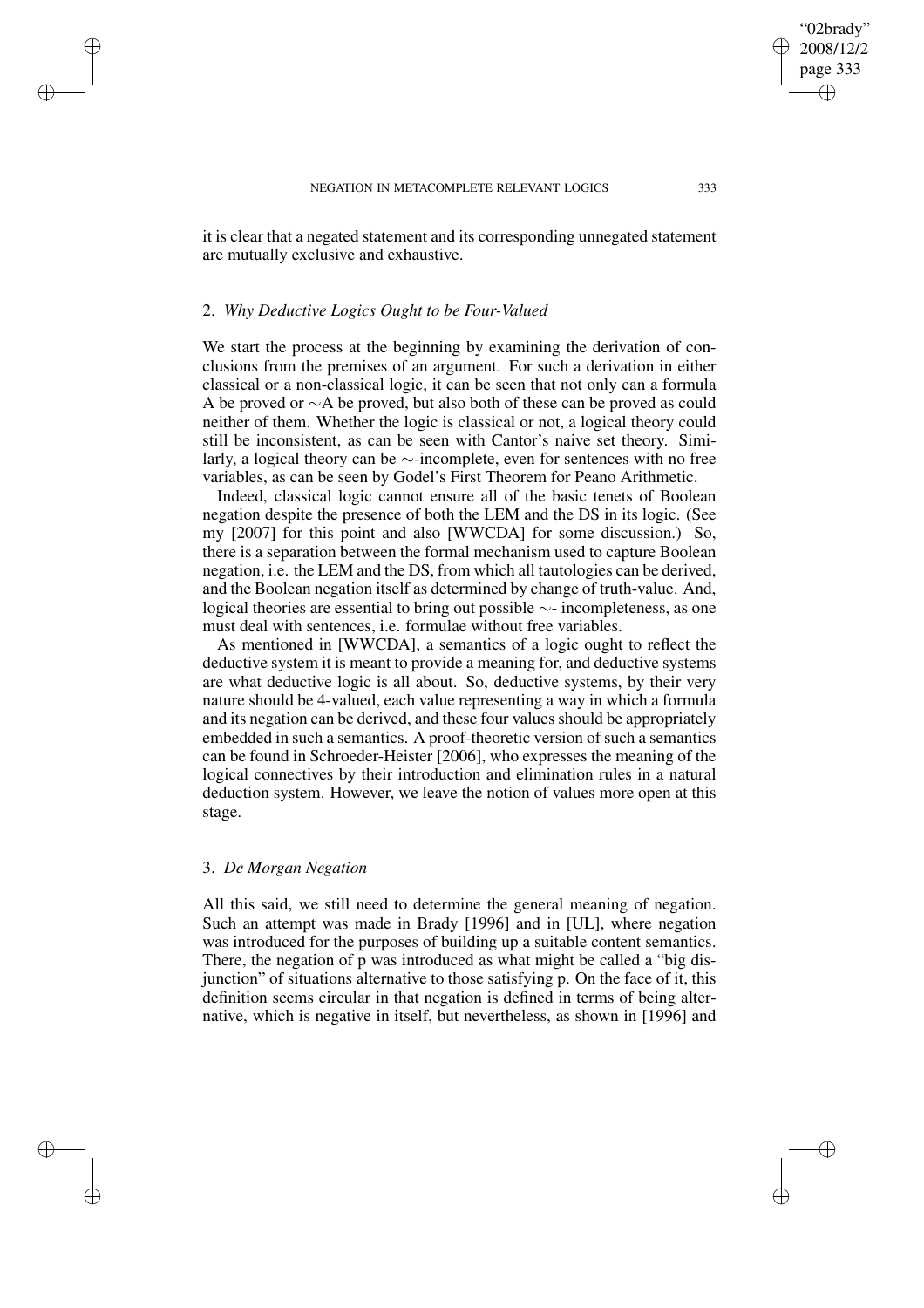it is clear that a negated statement and its corresponding unnegated statement are mutually exclusive and exhaustive.

## 2. *Why Deductive Logics Ought to be Four-Valued*

✐

✐

✐

✐

We start the process at the beginning by examining the derivation of conclusions from the premises of an argument. For such a derivation in either classical or a non-classical logic, it can be seen that not only can a formula A be proved or ∼A be proved, but also both of these can be proved as could neither of them. Whether the logic is classical or not, a logical theory could still be inconsistent, as can be seen with Cantor's naive set theory. Similarly, a logical theory can be ∼-incomplete, even for sentences with no free variables, as can be seen by Godel's First Theorem for Peano Arithmetic.

Indeed, classical logic cannot ensure all of the basic tenets of Boolean negation despite the presence of both the LEM and the DS in its logic. (See my [2007] for this point and also [WWCDA] for some discussion.) So, there is a separation between the formal mechanism used to capture Boolean negation, i.e. the LEM and the DS, from which all tautologies can be derived, and the Boolean negation itself as determined by change of truth-value. And, logical theories are essential to bring out possible ∼- incompleteness, as one must deal with sentences, i.e. formulae without free variables.

As mentioned in [WWCDA], a semantics of a logic ought to reflect the deductive system it is meant to provide a meaning for, and deductive systems are what deductive logic is all about. So, deductive systems, by their very nature should be 4-valued, each value representing a way in which a formula and its negation can be derived, and these four values should be appropriately embedded in such a semantics. A proof-theoretic version of such a semantics can be found in Schroeder-Heister [2006], who expresses the meaning of the logical connectives by their introduction and elimination rules in a natural deduction system. However, we leave the notion of values more open at this stage.

## 3. *De Morgan Negation*

All this said, we still need to determine the general meaning of negation. Such an attempt was made in Brady [1996] and in [UL], where negation was introduced for the purposes of building up a suitable content semantics. There, the negation of p was introduced as what might be called a "big disjunction" of situations alternative to those satisfying p. On the face of it, this definition seems circular in that negation is defined in terms of being alternative, which is negative in itself, but nevertheless, as shown in [1996] and

"02brady" 2008/12/2 page 333

✐

✐

✐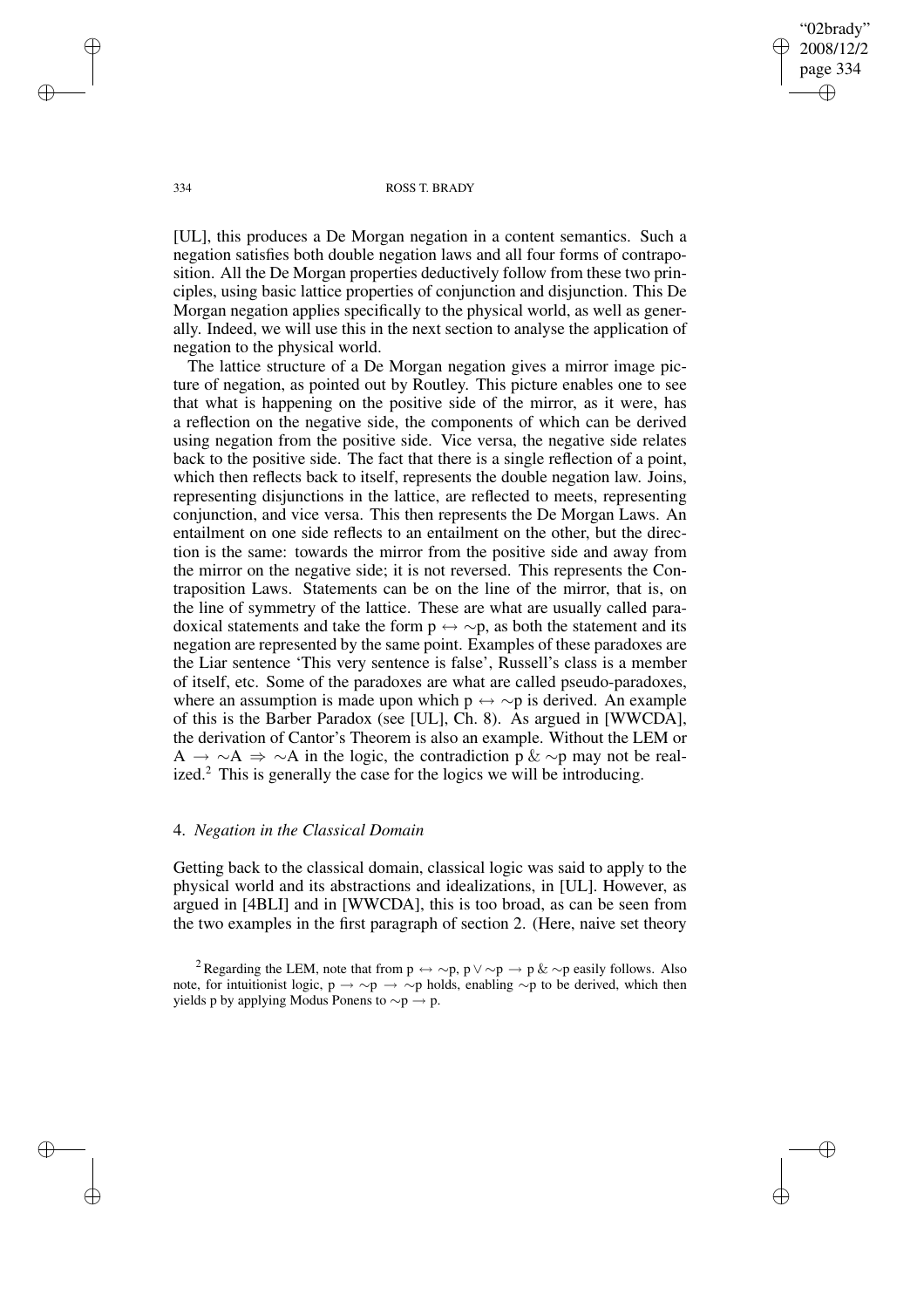"02brady" 2008/12/2 page 334 ✐ ✐

✐

✐

## 334 ROSS T. BRADY

[UL], this produces a De Morgan negation in a content semantics. Such a negation satisfies both double negation laws and all four forms of contraposition. All the De Morgan properties deductively follow from these two principles, using basic lattice properties of conjunction and disjunction. This De Morgan negation applies specifically to the physical world, as well as generally. Indeed, we will use this in the next section to analyse the application of negation to the physical world.

The lattice structure of a De Morgan negation gives a mirror image picture of negation, as pointed out by Routley. This picture enables one to see that what is happening on the positive side of the mirror, as it were, has a reflection on the negative side, the components of which can be derived using negation from the positive side. Vice versa, the negative side relates back to the positive side. The fact that there is a single reflection of a point, which then reflects back to itself, represents the double negation law. Joins, representing disjunctions in the lattice, are reflected to meets, representing conjunction, and vice versa. This then represents the De Morgan Laws. An entailment on one side reflects to an entailment on the other, but the direction is the same: towards the mirror from the positive side and away from the mirror on the negative side; it is not reversed. This represents the Contraposition Laws. Statements can be on the line of the mirror, that is, on the line of symmetry of the lattice. These are what are usually called paradoxical statements and take the form  $p \leftrightarrow \sim p$ , as both the statement and its negation are represented by the same point. Examples of these paradoxes are the Liar sentence 'This very sentence is false', Russell's class is a member of itself, etc. Some of the paradoxes are what are called pseudo-paradoxes, where an assumption is made upon which  $p \leftrightarrow \sim p$  is derived. An example of this is the Barber Paradox (see [UL], Ch. 8). As argued in [WWCDA], the derivation of Cantor's Theorem is also an example. Without the LEM or A  $\rightarrow \sim A \Rightarrow \sim A$  in the logic, the contradiction p &  $\sim$ p may not be realized.<sup>2</sup> This is generally the case for the logics we will be introducing.

## 4. *Negation in the Classical Domain*

Getting back to the classical domain, classical logic was said to apply to the physical world and its abstractions and idealizations, in [UL]. However, as argued in [4BLI] and in [WWCDA], this is too broad, as can be seen from the two examples in the first paragraph of section 2. (Here, naive set theory

✐

✐

✐

<sup>&</sup>lt;sup>2</sup> Regarding the LEM, note that from  $p \leftrightarrow \sim p$ ,  $p \lor \sim p \rightarrow p \& \sim p$  easily follows. Also note, for intuitionist logic,  $p \rightarrow \sim p \rightarrow \sim p$  holds, enabling  $\sim p$  to be derived, which then yields p by applying Modus Ponens to  $\sim p \rightarrow p$ .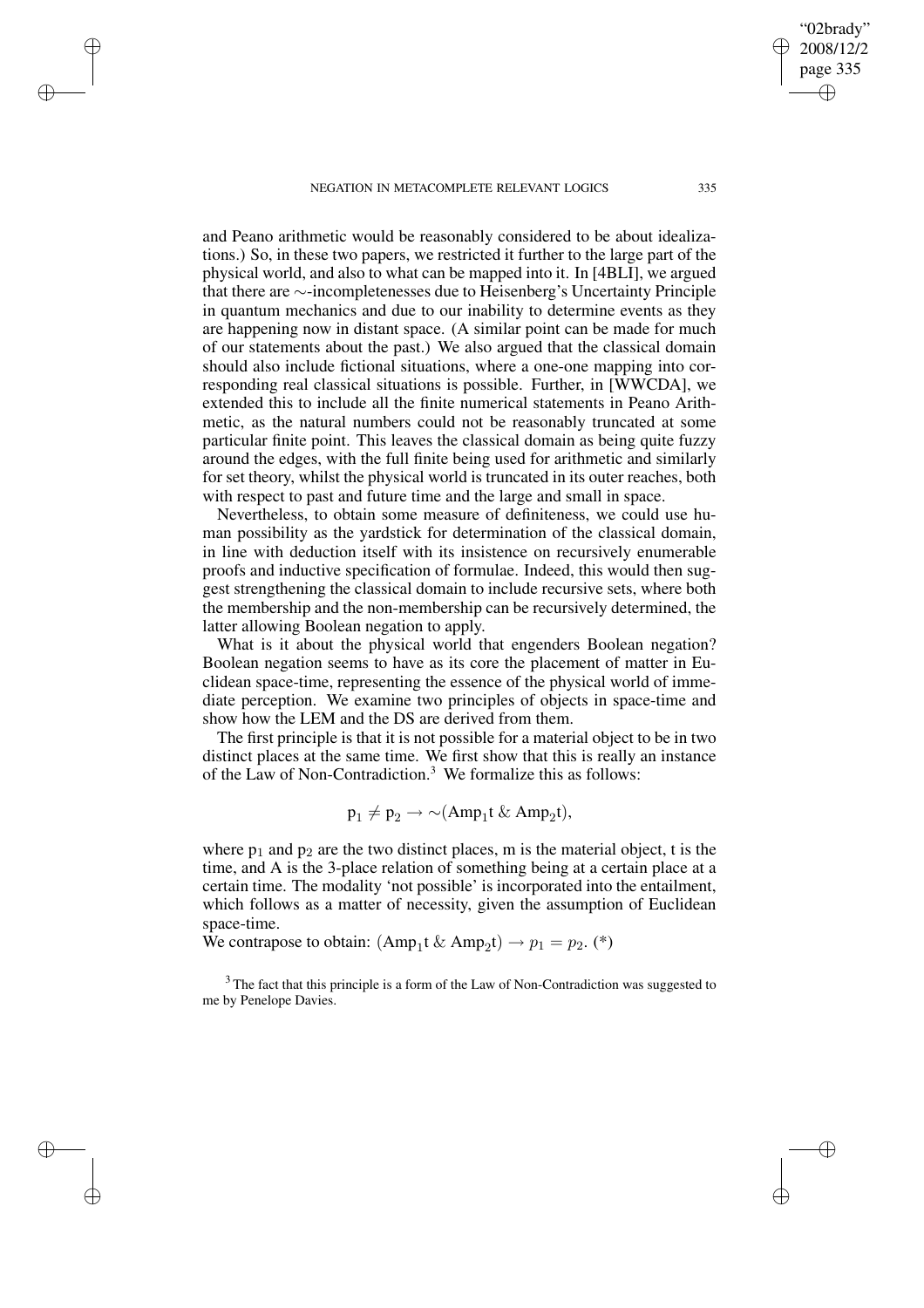✐

✐

✐

✐

and Peano arithmetic would be reasonably considered to be about idealizations.) So, in these two papers, we restricted it further to the large part of the physical world, and also to what can be mapped into it. In [4BLI], we argued that there are ∼-incompletenesses due to Heisenberg's Uncertainty Principle in quantum mechanics and due to our inability to determine events as they are happening now in distant space. (A similar point can be made for much of our statements about the past.) We also argued that the classical domain should also include fictional situations, where a one-one mapping into corresponding real classical situations is possible. Further, in [WWCDA], we extended this to include all the finite numerical statements in Peano Arithmetic, as the natural numbers could not be reasonably truncated at some particular finite point. This leaves the classical domain as being quite fuzzy around the edges, with the full finite being used for arithmetic and similarly for set theory, whilst the physical world is truncated in its outer reaches, both with respect to past and future time and the large and small in space.

Nevertheless, to obtain some measure of definiteness, we could use human possibility as the yardstick for determination of the classical domain, in line with deduction itself with its insistence on recursively enumerable proofs and inductive specification of formulae. Indeed, this would then suggest strengthening the classical domain to include recursive sets, where both the membership and the non-membership can be recursively determined, the latter allowing Boolean negation to apply.

What is it about the physical world that engenders Boolean negation? Boolean negation seems to have as its core the placement of matter in Euclidean space-time, representing the essence of the physical world of immediate perception. We examine two principles of objects in space-time and show how the LEM and the DS are derived from them.

The first principle is that it is not possible for a material object to be in two distinct places at the same time. We first show that this is really an instance of the Law of Non-Contradiction.<sup>3</sup> We formalize this as follows:

$$
p_1 \neq p_2 \rightarrow \sim (Amp_1 t \& Amp_2 t),
$$

where  $p_1$  and  $p_2$  are the two distinct places, m is the material object, t is the time, and A is the 3-place relation of something being at a certain place at a certain time. The modality 'not possible' is incorporated into the entailment, which follows as a matter of necessity, given the assumption of Euclidean space-time.

We contrapose to obtain:  $(Amp_1 t \& Amp_2 t) \rightarrow p_1 = p_2$ . (\*)

<sup>3</sup> The fact that this principle is a form of the Law of Non-Contradiction was suggested to me by Penelope Davies.

"02brady" 2008/12/2 page 335

✐

✐

✐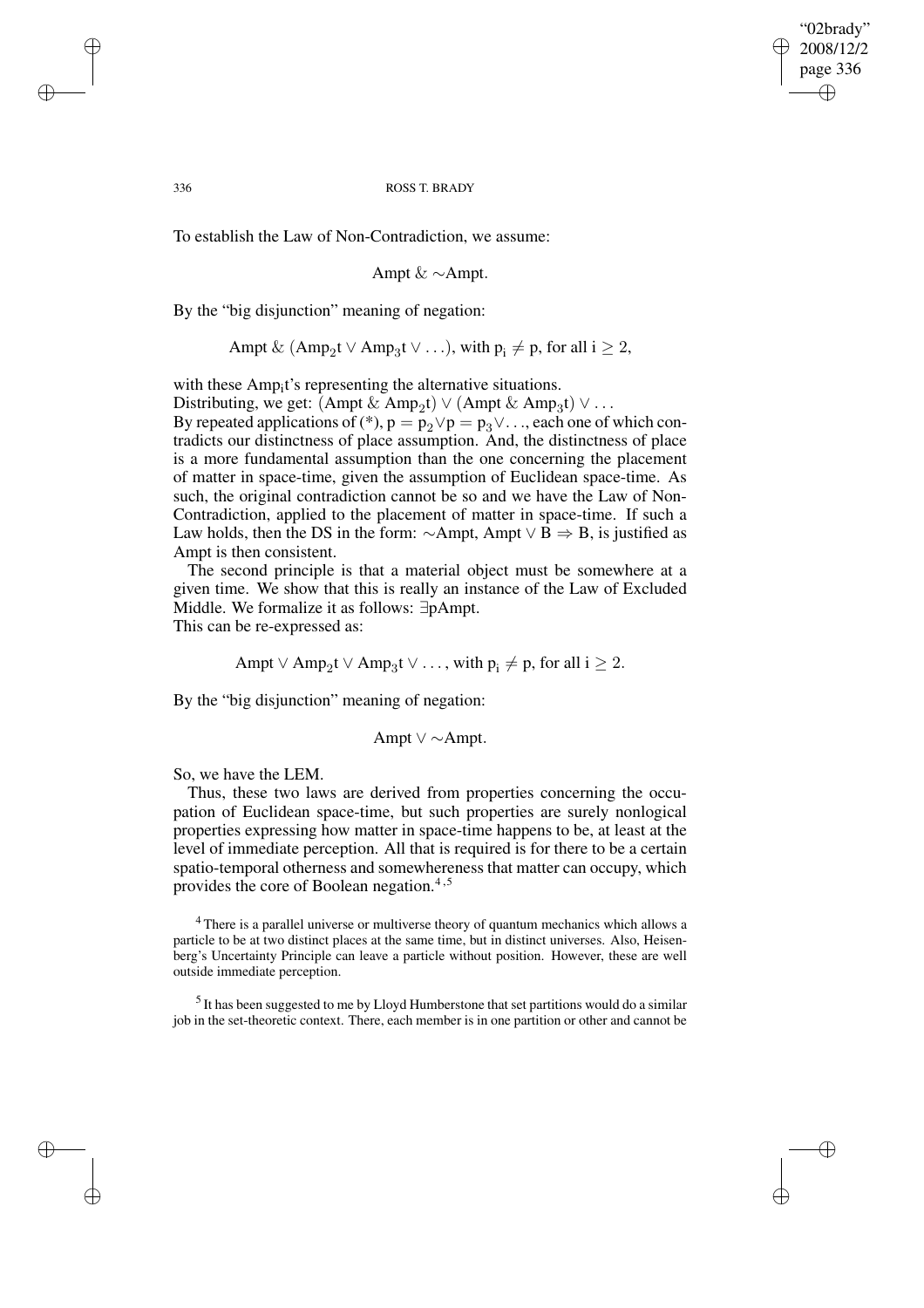✐

## 336 ROSS T. BRADY

To establish the Law of Non-Contradiction, we assume:

$$
Ampt \& \sim Ampt.
$$

By the "big disjunction" meaning of negation:

$$
Ampt \& (Amp_2t \vee Amp_3t \vee ...), with p_i \neq p, for all i \geq 2,
$$

with these Amp<sub>i</sub>t's representing the alternative situations.

Distributing, we get:  $(Amp \& Amp_2t) \vee (Ampt \& Amp_3t) \vee \dots$ By repeated applications of (\*),  $p = p_2 \lor p = p_3 \lor ...$ , each one of which contradicts our distinctness of place assumption. And, the distinctness of place is a more fundamental assumption than the one concerning the placement of matter in space-time, given the assumption of Euclidean space-time. As such, the original contradiction cannot be so and we have the Law of Non-Contradiction, applied to the placement of matter in space-time. If such a Law holds, then the DS in the form:  $\sim$ Ampt, Ampt  $\lor$  B  $\Rightarrow$  B, is justified as Ampt is then consistent.

The second principle is that a material object must be somewhere at a given time. We show that this is really an instance of the Law of Excluded Middle. We formalize it as follows: ∃pAmpt. This can be re-expressed as:

Ampt  $\vee$  Amp<sub>2</sub>t  $\vee$  Amp<sub>3</sub>t  $\vee$  ..., with  $p_i \neq p$ , for all  $i \geq 2$ .

By the "big disjunction" meaning of negation:

$$
Ampt \vee \sim Ampt.
$$

So, we have the LEM.

Thus, these two laws are derived from properties concerning the occupation of Euclidean space-time, but such properties are surely nonlogical properties expressing how matter in space-time happens to be, at least at the level of immediate perception. All that is required is for there to be a certain spatio-temporal otherness and somewhereness that matter can occupy, which provides the core of Boolean negation.<sup>4,5</sup>

<sup>4</sup> There is a parallel universe or multiverse theory of quantum mechanics which allows a particle to be at two distinct places at the same time, but in distinct universes. Also, Heisenberg's Uncertainty Principle can leave a particle without position. However, these are well outside immediate perception.

 $<sup>5</sup>$  It has been suggested to me by Lloyd Humberstone that set partitions would do a similar</sup> job in the set-theoretic context. There, each member is in one partition or other and cannot be

✐

✐

✐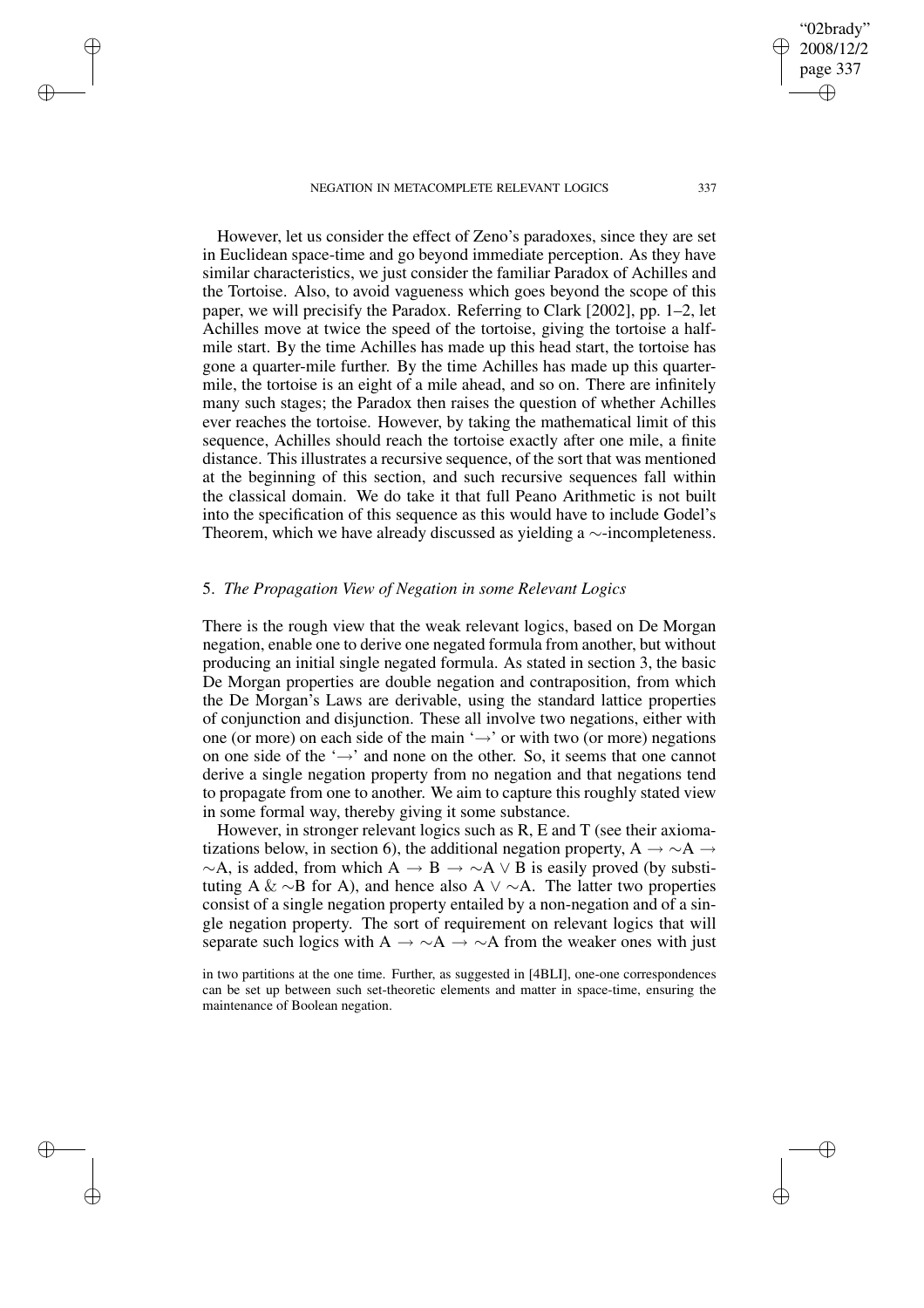✐

✐

✐

✐

However, let us consider the effect of Zeno's paradoxes, since they are set in Euclidean space-time and go beyond immediate perception. As they have similar characteristics, we just consider the familiar Paradox of Achilles and the Tortoise. Also, to avoid vagueness which goes beyond the scope of this paper, we will precisify the Paradox. Referring to Clark [2002], pp. 1–2, let Achilles move at twice the speed of the tortoise, giving the tortoise a halfmile start. By the time Achilles has made up this head start, the tortoise has gone a quarter-mile further. By the time Achilles has made up this quartermile, the tortoise is an eight of a mile ahead, and so on. There are infinitely many such stages; the Paradox then raises the question of whether Achilles ever reaches the tortoise. However, by taking the mathematical limit of this sequence, Achilles should reach the tortoise exactly after one mile, a finite distance. This illustrates a recursive sequence, of the sort that was mentioned at the beginning of this section, and such recursive sequences fall within the classical domain. We do take it that full Peano Arithmetic is not built into the specification of this sequence as this would have to include Godel's Theorem, which we have already discussed as yielding a ∼-incompleteness.

# 5. *The Propagation View of Negation in some Relevant Logics*

There is the rough view that the weak relevant logics, based on De Morgan negation, enable one to derive one negated formula from another, but without producing an initial single negated formula. As stated in section 3, the basic De Morgan properties are double negation and contraposition, from which the De Morgan's Laws are derivable, using the standard lattice properties of conjunction and disjunction. These all involve two negations, either with one (or more) on each side of the main ' $\rightarrow$ ' or with two (or more) negations on one side of the '→' and none on the other. So, it seems that one cannot derive a single negation property from no negation and that negations tend to propagate from one to another. We aim to capture this roughly stated view in some formal way, thereby giving it some substance.

However, in stronger relevant logics such as R, E and T (see their axiomatizations below, in section 6), the additional negation property, A  $\rightarrow \sim A \rightarrow$  $\sim$ A, is added, from which A  $\rightarrow$  B  $\rightarrow \sim$ A  $\vee$  B is easily proved (by substituting A & ∼B for A), and hence also A  $\vee$  ∼A. The latter two properties consist of a single negation property entailed by a non-negation and of a single negation property. The sort of requirement on relevant logics that will separate such logics with A  $\rightarrow \sim A \rightarrow \sim A$  from the weaker ones with just

in two partitions at the one time. Further, as suggested in [4BLI], one-one correspondences can be set up between such set-theoretic elements and matter in space-time, ensuring the maintenance of Boolean negation.

"02brady" 2008/12/2 page 337

✐

✐

✐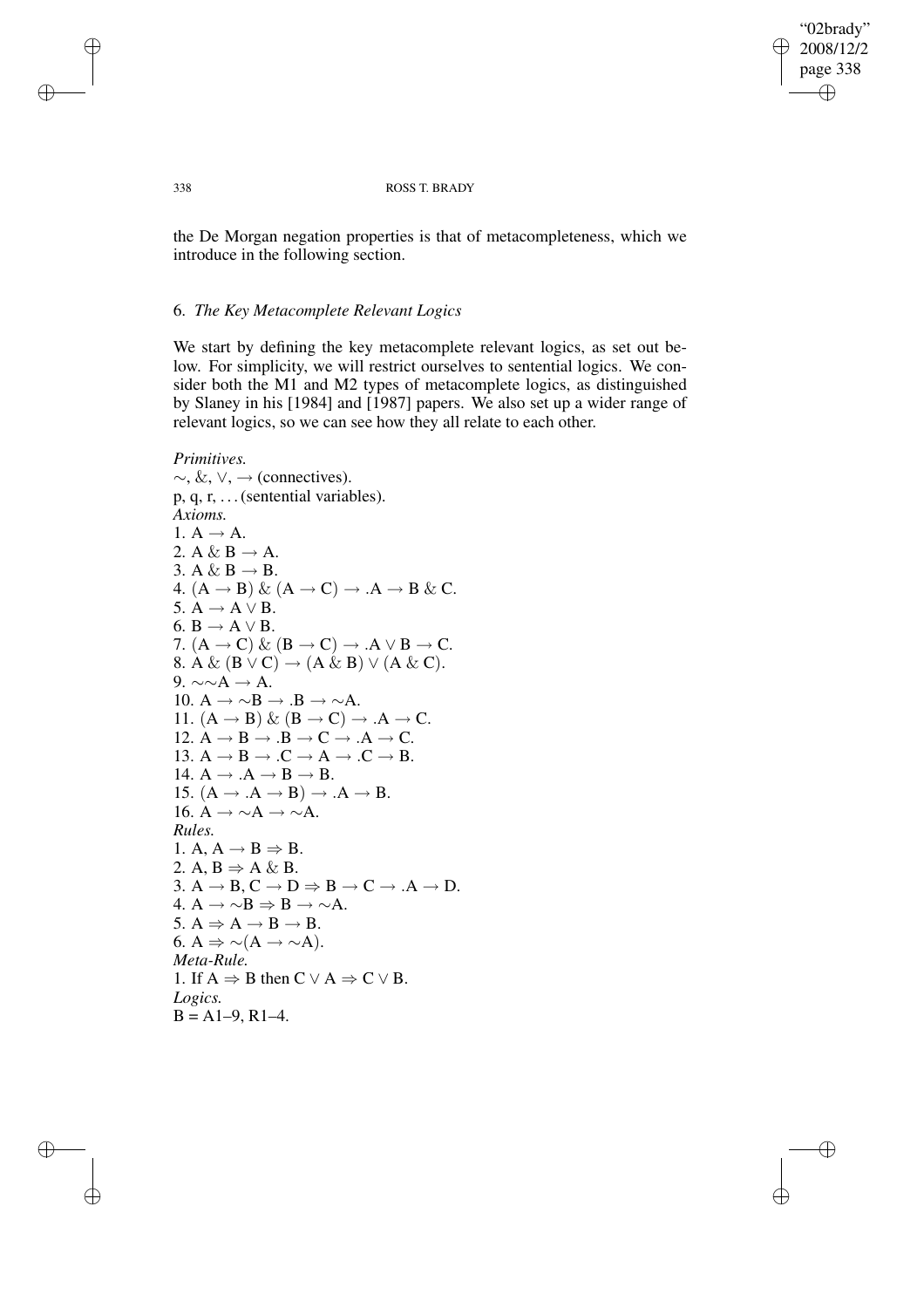"02brady" 2008/12/2 page 338 ✐ ✐

✐

✐

## 338 ROSS T. BRADY

the De Morgan negation properties is that of metacompleteness, which we introduce in the following section.

# 6. *The Key Metacomplete Relevant Logics*

We start by defining the key metacomplete relevant logics, as set out below. For simplicity, we will restrict ourselves to sentential logics. We consider both the M1 and M2 types of metacomplete logics, as distinguished by Slaney in his [1984] and [1987] papers. We also set up a wider range of relevant logics, so we can see how they all relate to each other.

*Primitives.*  $\sim$ , &,  $\vee$ ,  $\rightarrow$  (connectives). p, q, r, . . .(sentential variables). *Axioms.* 1.  $A \rightarrow A$ . 2. A & B  $\rightarrow$  A. 3. A & B  $\rightarrow$  B. 4.  $(A \rightarrow B) \& (A \rightarrow C) \rightarrow .A \rightarrow B \& C$ . 5.  $A \rightarrow A \vee B$ . 6.  $B \rightarrow A \vee B$ . 7.  $(A \rightarrow C) \& (B \rightarrow C) \rightarrow .A \vee B \rightarrow C$ . 8. A &  $(B \vee C) \rightarrow (A \& B) \vee (A \& C)$ . 9.  $\sim \sim A \rightarrow A$ . 10.  $A \rightarrow \sim B \rightarrow B \rightarrow \sim A$ . 11.  $(A \rightarrow B) \& (B \rightarrow C) \rightarrow .A \rightarrow C$ . 12.  $A \rightarrow B \rightarrow .B \rightarrow C \rightarrow .A \rightarrow C$ . 13.  $A \rightarrow B \rightarrow .C \rightarrow A \rightarrow .C \rightarrow B$ . 14.  $A \rightarrow A \rightarrow B \rightarrow B$ . 15.  $(A \rightarrow A \rightarrow B) \rightarrow A \rightarrow B$ . 16.  $A \rightarrow \sim A \rightarrow \sim A$ . *Rules.* 1. A,  $A \rightarrow B \Rightarrow B$ . 2. A,  $B \Rightarrow A \& B$ . 3.  $A \rightarrow B$ ,  $C \rightarrow D \Rightarrow B \rightarrow C \rightarrow A \rightarrow D$ . 4.  $A \rightarrow \sim B \Rightarrow B \rightarrow \sim A$ . 5.  $A \Rightarrow A \rightarrow B \rightarrow B$ . 6. A  $\Rightarrow \sim(A \rightarrow \sim A)$ . *Meta-Rule.* 1. If  $A \Rightarrow B$  then  $C \lor A \Rightarrow C \lor B$ . *Logics.*  $B = A1-9, R1-4.$ 

✐

✐

✐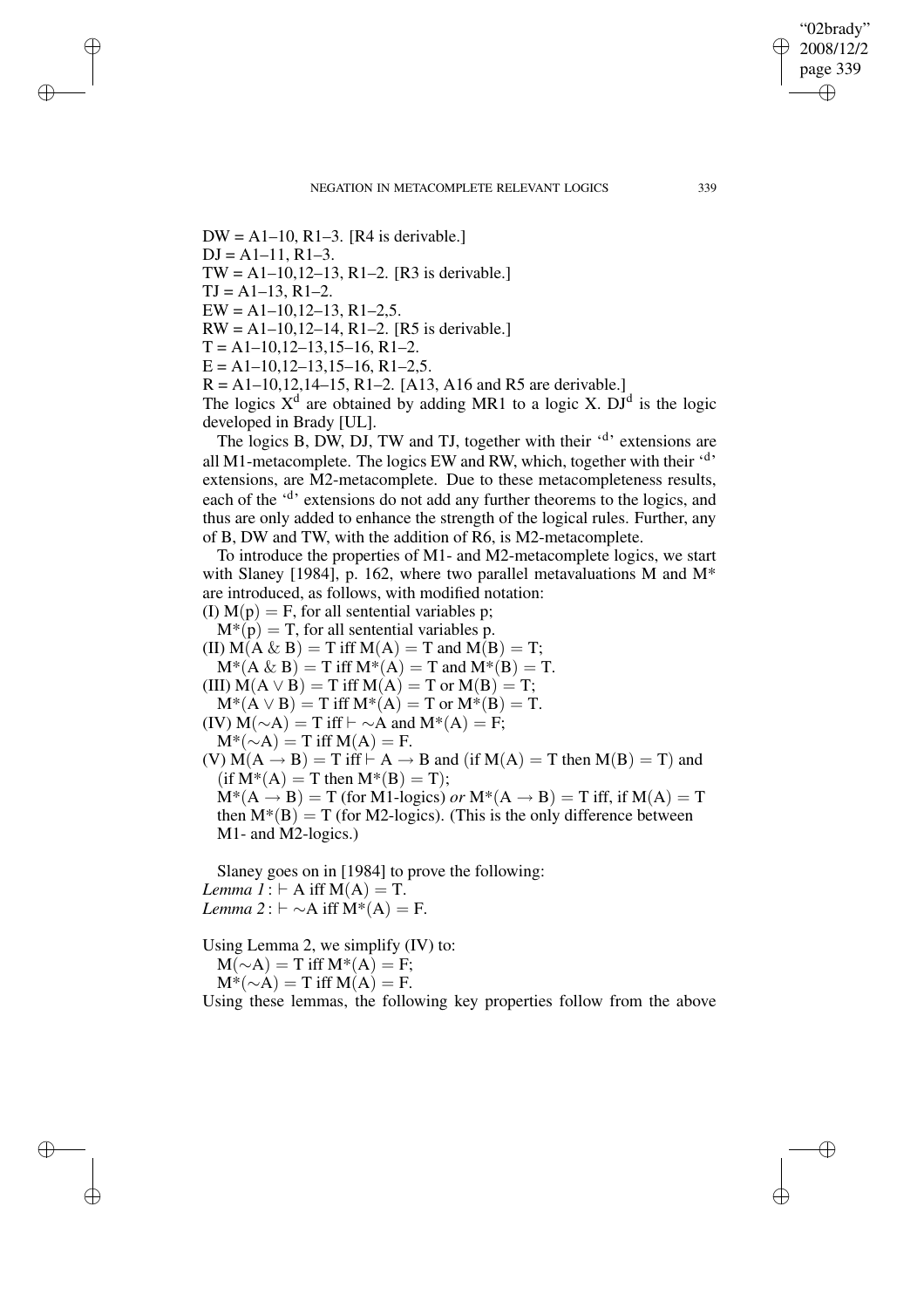$DW = A1-10$ , R1-3. [R4 is derivable.]  $DJ = A1-11, R1-3.$ TW =  $A1-10, 12-13, R1-2$ . [R3 is derivable.]

 $TI = A1-13$ ,  $R1-2$ .

✐

✐

✐

✐

 $EW = A1-10, 12-13, R1-2, 5.$ 

 $RW = A1-10, 12-14, R1-2.$  [R5 is derivable.]

 $T = A1-10, 12-13, 15-16, R1-2.$ 

 $E = A1 - 10, 12 - 13, 15 - 16, R1 - 2, 5.$ 

 $R = A1-10,12,14-15, R1-2.$  [A13, A16 and R5 are derivable.]

The logics  $X^d$  are obtained by adding MR1 to a logic X. DJ<sup>d</sup> is the logic developed in Brady [UL].

The logics B, DW, DJ, TW and TJ, together with their 'd' extensions are all M1-metacomplete. The logics EW and RW, which, together with their  $4$ <sup>3</sup> extensions, are M2-metacomplete. Due to these metacompleteness results, each of the '<sup>d</sup>' extensions do not add any further theorems to the logics, and thus are only added to enhance the strength of the logical rules. Further, any of B, DW and TW, with the addition of R6, is M2-metacomplete.

To introduce the properties of M1- and M2-metacomplete logics, we start with Slaney [1984], p. 162, where two parallel metavaluations M and  $M^*$ are introduced, as follows, with modified notation:

(I)  $M(p) = F$ , for all sentential variables p;

 $M^*(p) = T$ , for all sentential variables p.

(II)  $M(A \& B) = T$  iff  $M(A) = T$  and  $M(B) = T$ ;

 $M^*(A \& B) = T$  iff  $M^*(A) = T$  and  $M^*(B) = T$ . (III)  $M(A \vee B) = T$  iff  $M(A) = T$  or  $M(B) = T$ ;

 $M^*(A \vee B) = T$  iff  $M^*(A) = T$  or  $M^*(B) = T$ .

(IV)  $M(\sim A) = T$  iff  $\vdash \sim A$  and  $M^*(A) = F$ ;

 $M^*(-A) = T$  iff  $M(A) = F$ .

(V)  $M(A \rightarrow B) = T$  iff  $\vdash A \rightarrow B$  and (if  $M(A) = T$  then  $M(B) = T$ ) and  $(if M^*(A) = T then M^*(B) = T);$ 

 $M^*(A \rightarrow B) = T$  (for M1-logics) *or*  $M^*(A \rightarrow B) = T$  iff, if  $M(A) = T$ then  $M^*(B) = T$  (for M2-logics). (This is the only difference between M1- and M2-logics.)

Slaney goes on in [1984] to prove the following: *Lemma*  $1: \vdash A$  iff  $M(A) = T$ . *Lemma*  $2: \vdash \sim A$  iff  $M^*(A) = F$ .

Using Lemma 2, we simplify (IV) to:

 $M(\sim A) = T$  iff  $M^*(A) = F$ ;  $M^*(-A) = T$  iff  $M(A) = F$ .

Using these lemmas, the following key properties follow from the above

"02brady" 2008/12/2 page 339

✐

✐

✐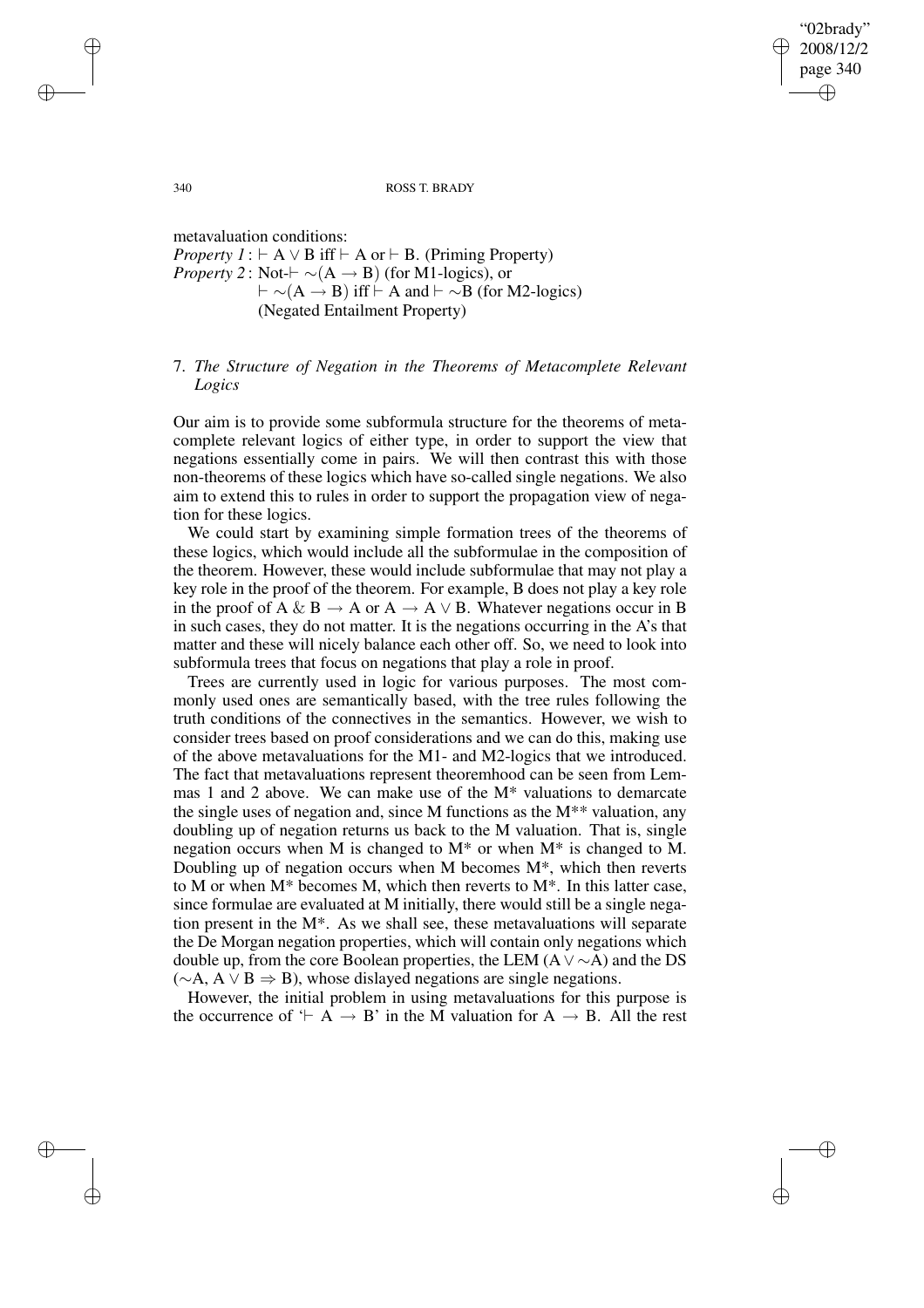"02brady" 2008/12/2 page 340 ✐ ✐

✐

✐

340 ROSS T. BRADY

metavaluation conditions: *Property*  $I : \vdash A \lor B$  if  $\vdash A$  or  $\vdash B$ . (Priming Property) *Property* 2: Not- $\vdash \sim(A \rightarrow B)$  (for M1-logics), or  $\vdash \sim(A \rightarrow B)$  iff  $\vdash A$  and  $\vdash \sim B$  (for M2-logics) (Negated Entailment Property)

# 7. *The Structure of Negation in the Theorems of Metacomplete Relevant Logics*

Our aim is to provide some subformula structure for the theorems of metacomplete relevant logics of either type, in order to support the view that negations essentially come in pairs. We will then contrast this with those non-theorems of these logics which have so-called single negations. We also aim to extend this to rules in order to support the propagation view of negation for these logics.

We could start by examining simple formation trees of the theorems of these logics, which would include all the subformulae in the composition of the theorem. However, these would include subformulae that may not play a key role in the proof of the theorem. For example, B does not play a key role in the proof of A & B  $\rightarrow$  A or A  $\rightarrow$  A  $\vee$  B. Whatever negations occur in B in such cases, they do not matter. It is the negations occurring in the A's that matter and these will nicely balance each other off. So, we need to look into subformula trees that focus on negations that play a role in proof.

Trees are currently used in logic for various purposes. The most commonly used ones are semantically based, with the tree rules following the truth conditions of the connectives in the semantics. However, we wish to consider trees based on proof considerations and we can do this, making use of the above metavaluations for the M1- and M2-logics that we introduced. The fact that metavaluations represent theoremhood can be seen from Lemmas 1 and 2 above. We can make use of the M\* valuations to demarcate the single uses of negation and, since M functions as the M\*\* valuation, any doubling up of negation returns us back to the M valuation. That is, single negation occurs when M is changed to  $M^*$  or when  $M^*$  is changed to M. Doubling up of negation occurs when M becomes  $M^*$ , which then reverts to M or when M\* becomes M, which then reverts to M\*. In this latter case, since formulae are evaluated at M initially, there would still be a single negation present in the M\*. As we shall see, these metavaluations will separate the De Morgan negation properties, which will contain only negations which double up, from the core Boolean properties, the LEM (A ∨∼A) and the DS  $(\sim A, A \vee B \Rightarrow B)$ , whose dislayed negations are single negations.

However, the initial problem in using metavaluations for this purpose is the occurrence of  $\vdash A \rightarrow B'$  in the M valuation for A  $\rightarrow B$ . All the rest

✐

✐

✐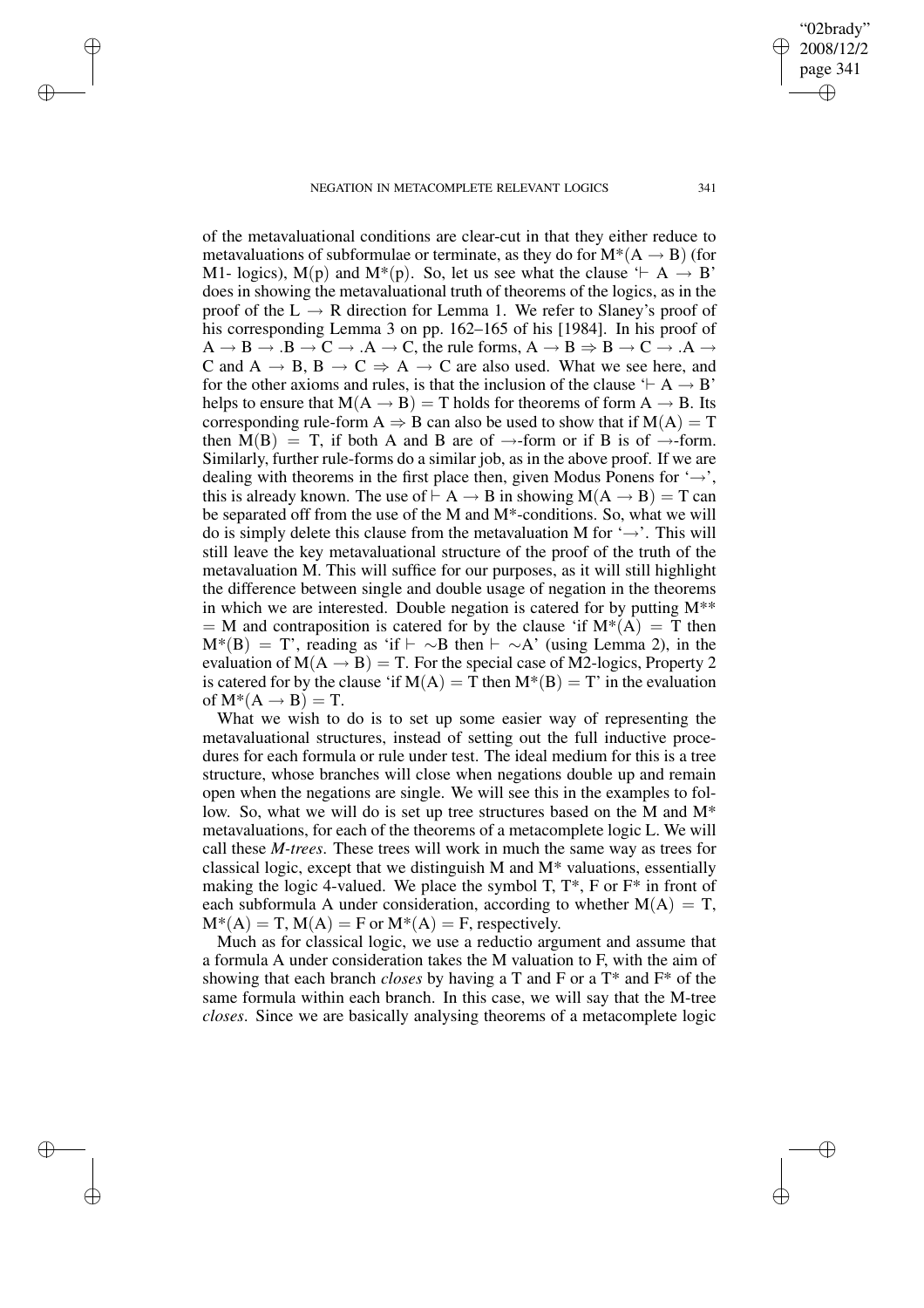✐

✐

✐

✐

of the metavaluational conditions are clear-cut in that they either reduce to metavaluations of subformulae or terminate, as they do for  $M^*(A \rightarrow B)$  (for M1- logics),  $M(p)$  and  $M^*(p)$ . So, let us see what the clause  $\vdash A \rightarrow B'$ does in showing the metavaluational truth of theorems of the logics, as in the proof of the  $L \rightarrow R$  direction for Lemma 1. We refer to Slaney's proof of his corresponding Lemma 3 on pp. 162–165 of his [1984]. In his proof of  $A \rightarrow B \rightarrow B \rightarrow C \rightarrow A \rightarrow C$ , the rule forms,  $A \rightarrow B \Rightarrow B \rightarrow C \rightarrow A \rightarrow$ C and A  $\rightarrow$  B, B  $\rightarrow$  C  $\Rightarrow$  A  $\rightarrow$  C are also used. What we see here, and for the other axioms and rules, is that the inclusion of the clause  $\vdash A \rightarrow B'$ helps to ensure that  $M(A \rightarrow B) = T$  holds for theorems of form  $A \rightarrow B$ . Its corresponding rule-form A  $\Rightarrow$  B can also be used to show that if  $M(A) = T$ then  $M(B) = T$ , if both A and B are of  $\rightarrow$ -form or if B is of  $\rightarrow$ -form. Similarly, further rule-forms do a similar job, as in the above proof. If we are dealing with theorems in the first place then, given Modus Ponens for  $\rightarrow$ , this is already known. The use of  $\vdash A \rightarrow B$  in showing  $M(A \rightarrow B) = T$  can be separated off from the use of the M and M\*-conditions. So, what we will do is simply delete this clause from the metavaluation M for  $\rightarrow$ . This will still leave the key metavaluational structure of the proof of the truth of the metavaluation M. This will suffice for our purposes, as it will still highlight the difference between single and double usage of negation in the theorems in which we are interested. Double negation is catered for by putting  $M^{**}$  $=$  M and contraposition is catered for by the clause 'if  $M^*(A) = T$  then  $M^*(B) = T'$ , reading as 'if  $\vdash \sim B$  then  $\vdash \sim A'$  (using Lemma 2), in the evaluation of  $M(A \rightarrow B) = T$ . For the special case of M2-logics, Property 2 is catered for by the clause 'if  $M(A) = T$  then  $M^*(B) = T$ ' in the evaluation of  $M^*(A \rightarrow B) = T$ .

What we wish to do is to set up some easier way of representing the metavaluational structures, instead of setting out the full inductive procedures for each formula or rule under test. The ideal medium for this is a tree structure, whose branches will close when negations double up and remain open when the negations are single. We will see this in the examples to follow. So, what we will do is set up tree structures based on the M and M\* metavaluations, for each of the theorems of a metacomplete logic L. We will call these *M-trees*. These trees will work in much the same way as trees for classical logic, except that we distinguish M and M\* valuations, essentially making the logic 4-valued. We place the symbol T,  $T^*$ , F or  $F^*$  in front of each subformula A under consideration, according to whether  $M(A) = T$ ,  $M^*(A) = T$ ,  $M(A) = F$  or  $M^*(A) = F$ , respectively.

Much as for classical logic, we use a reductio argument and assume that a formula A under consideration takes the M valuation to F, with the aim of showing that each branch *closes* by having a T and F or a T\* and F\* of the same formula within each branch. In this case, we will say that the M-tree *closes*. Since we are basically analysing theorems of a metacomplete logic

✐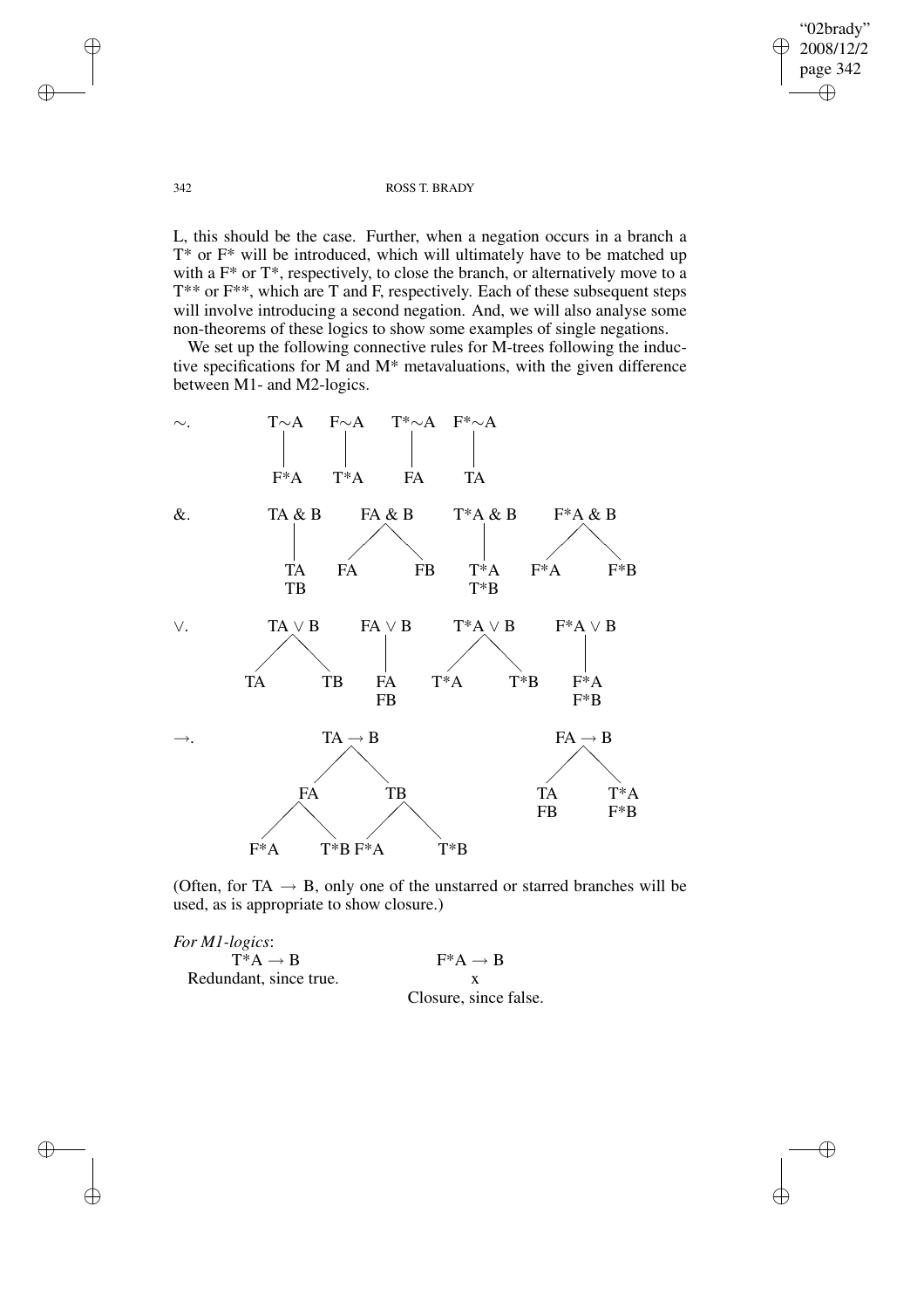"02brady" 2008/12/2 page 342  $\oplus$ ✐

✐

## 342 ROSS T. BRADY

L, this should be the case. Further, when a negation occurs in a branch a T\* or F\* will be introduced, which will ultimately have to be matched up with a  $F^*$  or  $T^*$ , respectively, to close the branch, or alternatively move to a T\*\* or F\*\*, which are T and F, respectively. Each of these subsequent steps will involve introducing a second negation. And, we will also analyse some non-theorems of these logics to show some examples of single negations.

We set up the following connective rules for M-trees following the inductive specifications for M and M\* metavaluations, with the given difference between M1- and M2-logics.



(Often, for TA  $\rightarrow$  B, only one of the unstarred or starred branches will be used, as is appropriate to show closure.)

| <i>For M1-logics</i> : |                       |
|------------------------|-----------------------|
| $T^*A \rightarrow R$   | $F^*A \rightarrow B$  |
| Redundant, since true. |                       |
|                        | Closure, since false. |

✐

✐

✐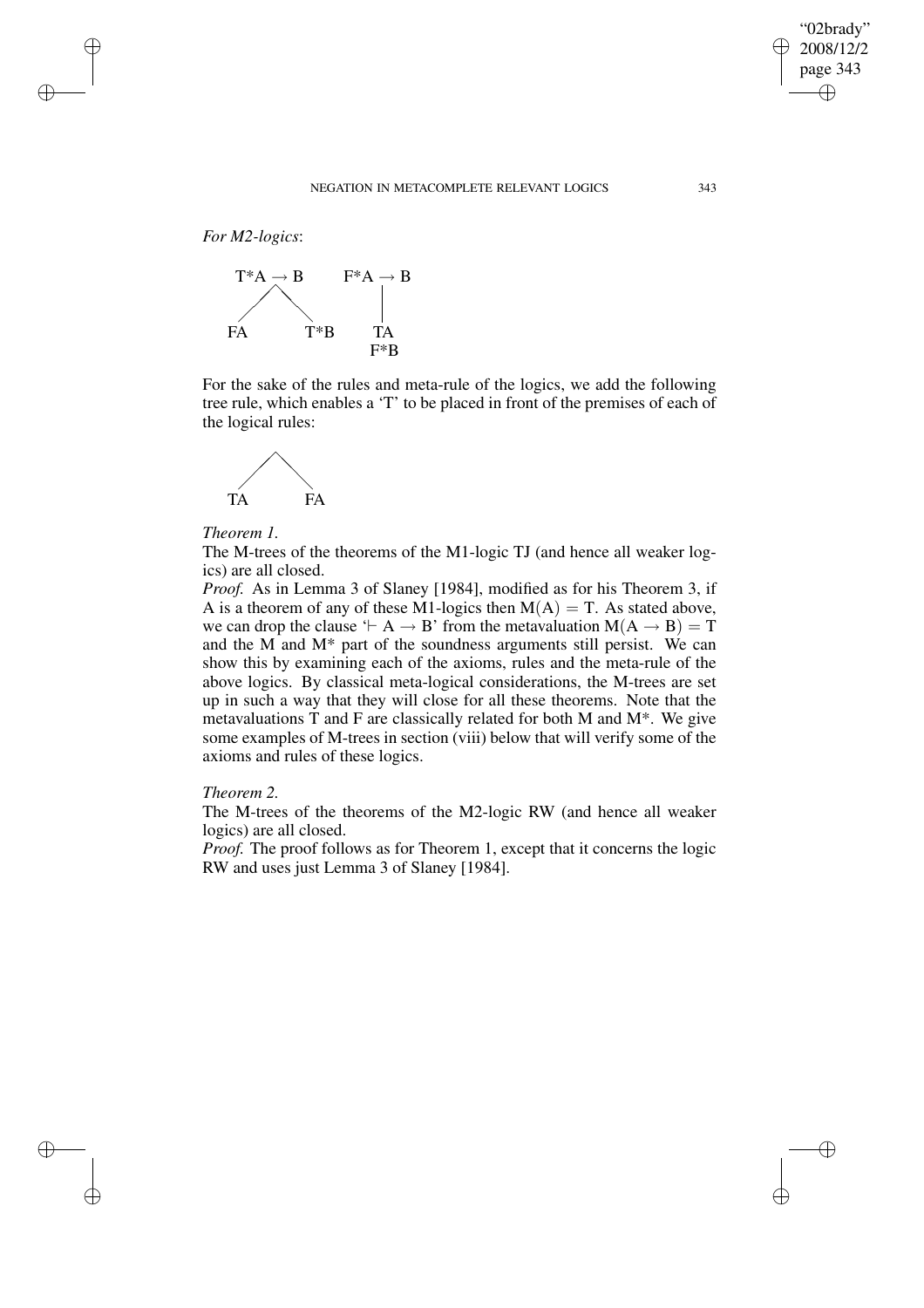✐

*For M2-logics*:

✐

✐

✐

✐



For the sake of the rules and meta-rule of the logics, we add the following tree rule, which enables a 'T' to be placed in front of the premises of each of the logical rules:



## *Theorem 1.*

The M-trees of the theorems of the M1-logic TJ (and hence all weaker logics) are all closed.

*Proof.* As in Lemma 3 of Slaney [1984], modified as for his Theorem 3, if A is a theorem of any of these M1-logics then  $M(A) = T$ . As stated above, we can drop the clause ' $\vdash A \rightarrow B$ ' from the metavaluation  $M(A \rightarrow B) = T$ and the M and M\* part of the soundness arguments still persist. We can show this by examining each of the axioms, rules and the meta-rule of the above logics. By classical meta-logical considerations, the M-trees are set up in such a way that they will close for all these theorems. Note that the metavaluations  $T$  and  $F$  are classically related for both M and  $M^*$ . We give some examples of M-trees in section (viii) below that will verify some of the axioms and rules of these logics.

## *Theorem 2.*

The M-trees of the theorems of the M2-logic RW (and hence all weaker logics) are all closed.

*Proof.* The proof follows as for Theorem 1, except that it concerns the logic RW and uses just Lemma 3 of Slaney [1984].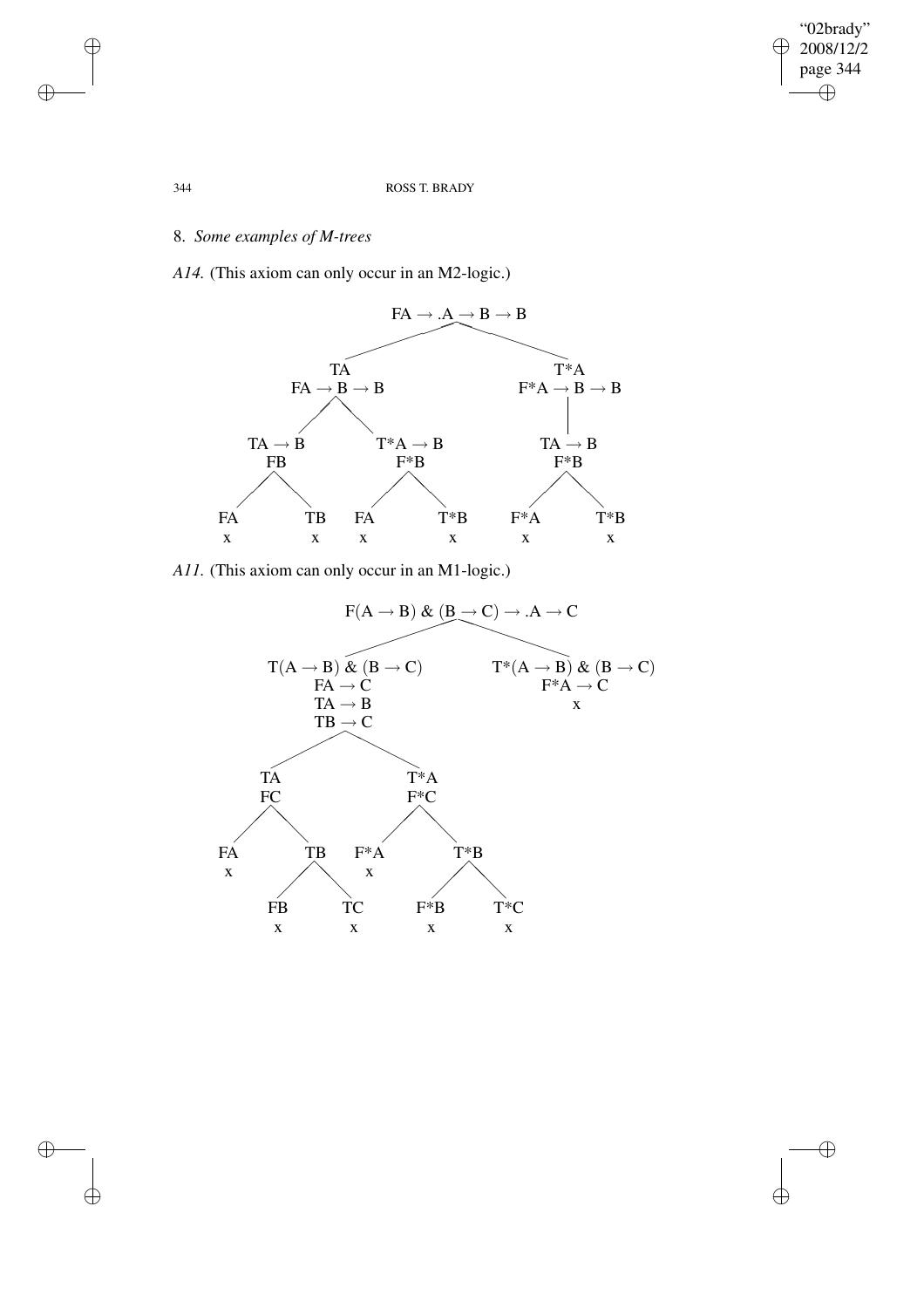$\overline{\bigoplus}$ 

 $\bigoplus$ 

## 344 ROSS T. BRADY

# 8. *Some examples of M-trees*

*A14.* (This axiom can only occur in an M2-logic.)



*A11.* (This axiom can only occur in an M1-logic.)



 $\oplus$ 

 $\bigoplus$ 

 $\oplus$ 

 $\bigoplus$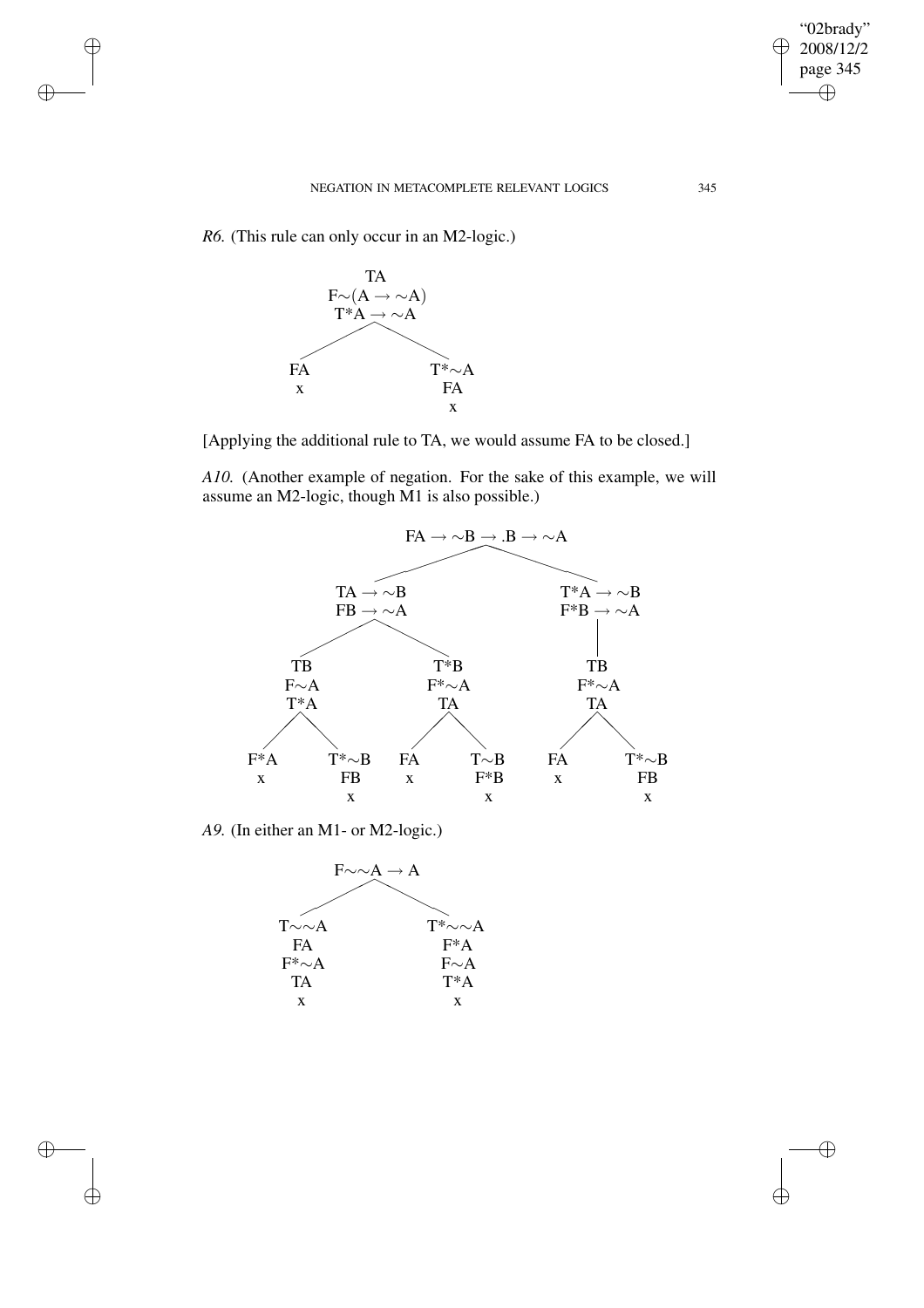*R6.* (This rule can only occur in an M2-logic.)

✐

 $\bigoplus$ 

 $\oplus$ 

✐



[Applying the additional rule to TA, we would assume FA to be closed.]

*A10.* (Another example of negation. For the sake of this example, we will assume an M2-logic, though M1 is also possible.)



*A9.* (In either an M1- or M2-logic.)



"02brady"  $\geq 2008/12/2$ page 345

 $\bigoplus$ 

 $\bigoplus$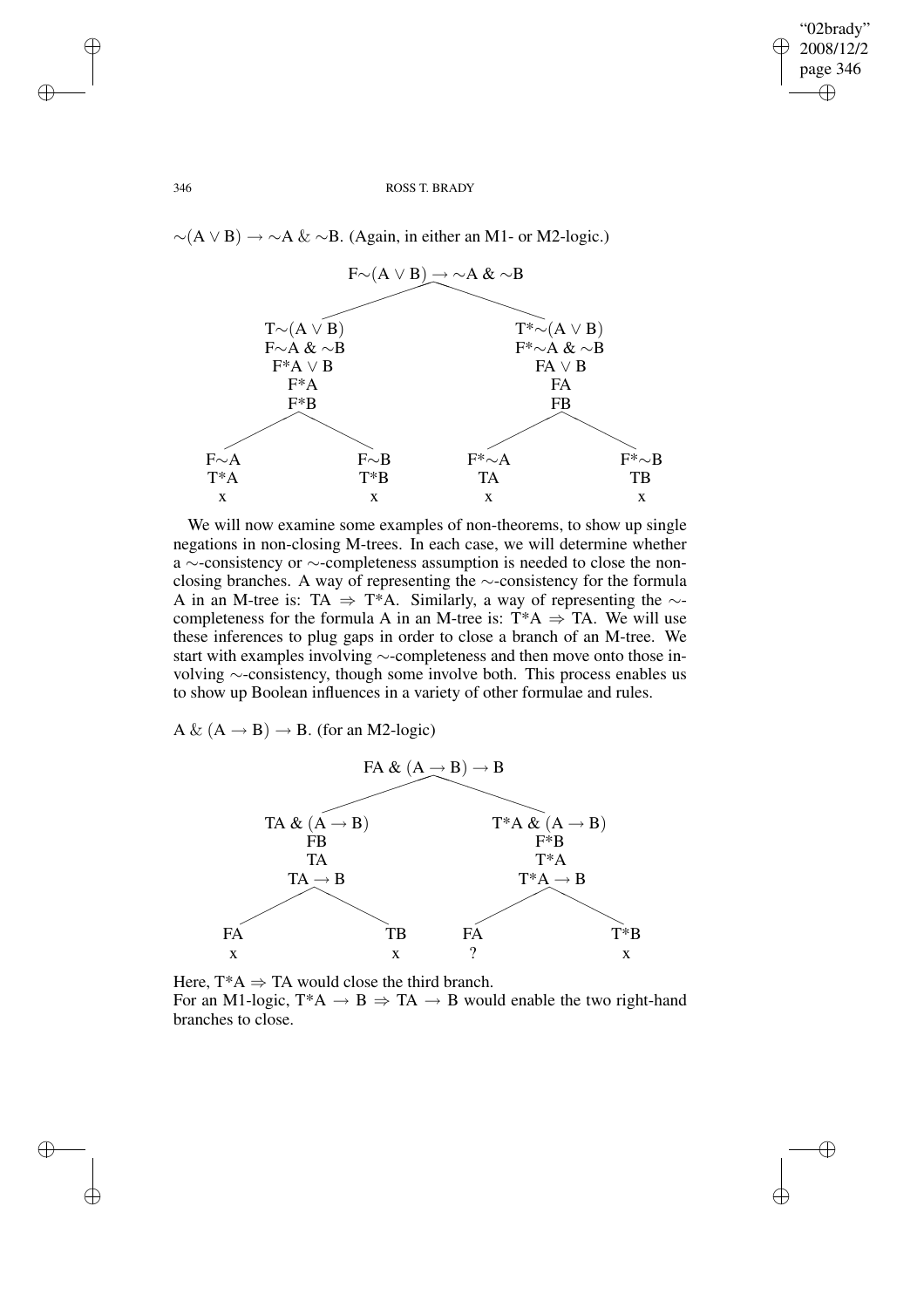✐

## 346 ROSS T. BRADY

 $\sim(A \vee B) \rightarrow \sim A \& \sim B$ . (Again, in either an M1- or M2-logic.)



We will now examine some examples of non-theorems, to show up single negations in non-closing M-trees. In each case, we will determine whether a ∼-consistency or ∼-completeness assumption is needed to close the nonclosing branches. A way of representing the ∼-consistency for the formula A in an M-tree is: TA  $\Rightarrow$  T\*A. Similarly, a way of representing the  $\sim$ completeness for the formula A in an M-tree is:  $T^*A \Rightarrow TA$ . We will use these inferences to plug gaps in order to close a branch of an M-tree. We start with examples involving ∼-completeness and then move onto those involving ∼-consistency, though some involve both. This process enables us to show up Boolean influences in a variety of other formulae and rules.

A &  $(A \rightarrow B) \rightarrow B$ . (for an M2-logic)



Here,  $T^*A \Rightarrow TA$  would close the third branch. For an M1-logic,  $T^*A \rightarrow B \Rightarrow TA \rightarrow B$  would enable the two right-hand branches to close.

✐

✐

✐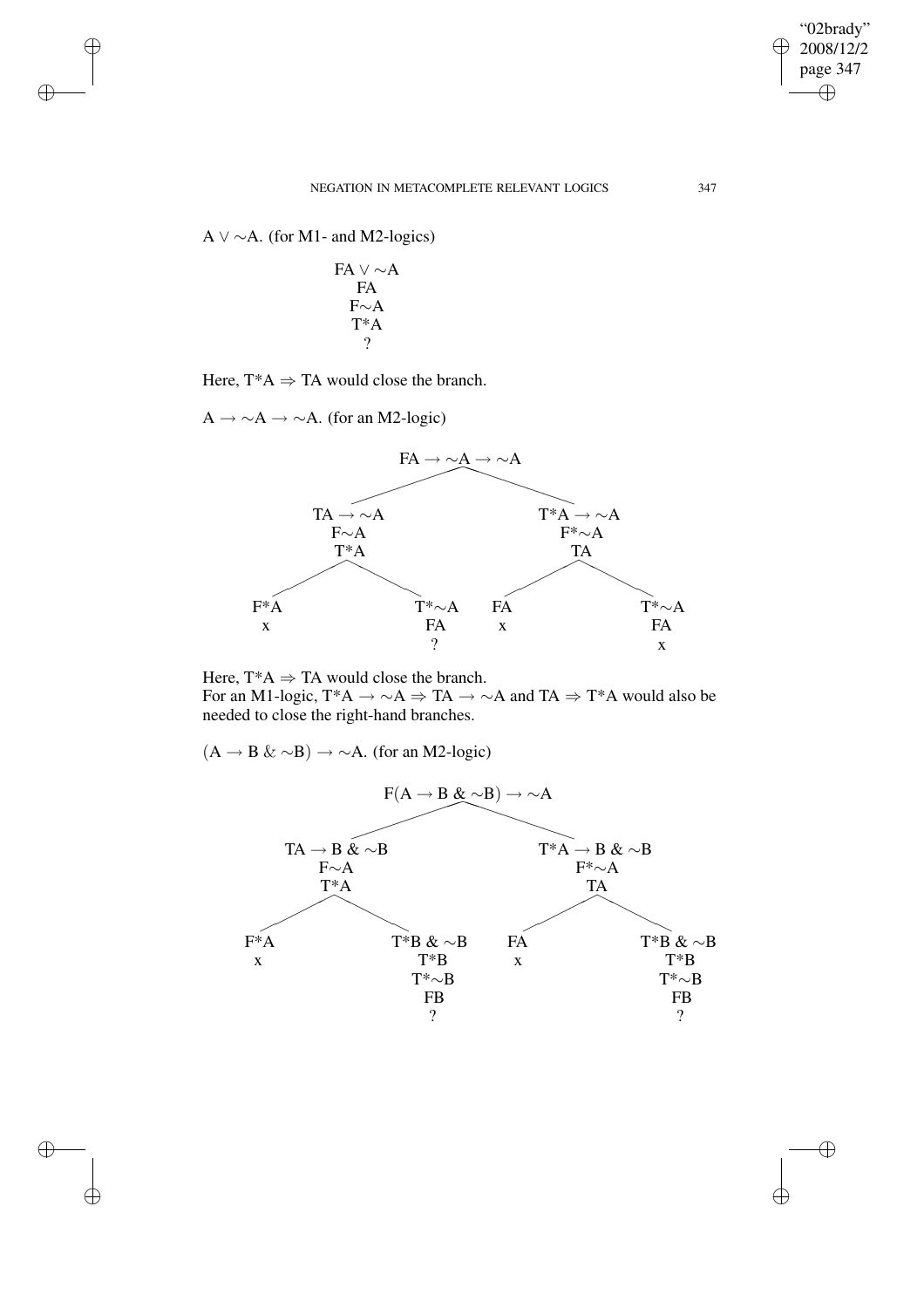$\bigoplus$ 

 $\bigoplus$ 

## NEGATION IN METACOMPLETE RELEVANT LOGICS 347

A  $\vee \sim A$ . (for M1- and M2-logics)

✐

 $\bigoplus$ 

✐

✐

$$
\begin{array}{c}\nFA \lor \sim A \\
FA \\
F \sim A \\
T^*A \\
? \\
\end{array}
$$

Here,  $T^*A \Rightarrow TA$  would close the branch.

 $A \rightarrow \sim A \rightarrow \sim A$ . (for an M2-logic)



Here,  $T^*A \Rightarrow TA$  would close the branch. For an M1-logic, T\*A  $\rightarrow \sim A \Rightarrow TA \rightarrow \sim A$  and TA  $\Rightarrow$  T\*A would also be needed to close the right-hand branches.

 $(A \rightarrow B \& \sim B) \rightarrow \sim A$ . (for an M2-logic)

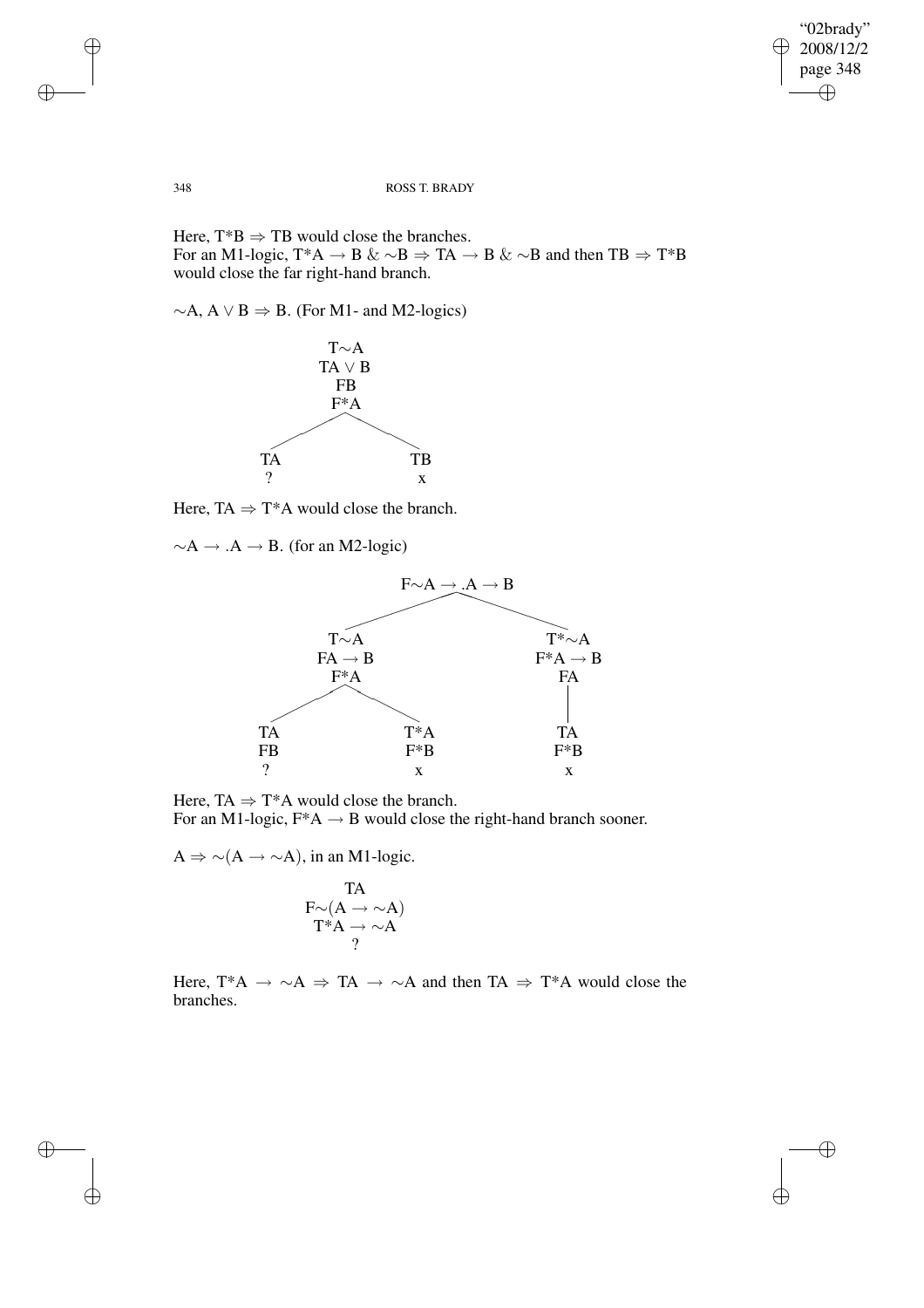$\bigoplus$ 

## 348 ROSS T. BRADY

Here,  $T^*B \Rightarrow TB$  would close the branches. For an M1-logic, T\*A  $\rightarrow$  B &  $\sim$ B  $\Rightarrow$  TA  $\rightarrow$  B &  $\sim$ B and then TB  $\Rightarrow$  T\*B would close the far right-hand branch.

 $∼A$ , A  $\lor B \Rightarrow B$ . (For M1- and M2-logics)



Here, TA  $\Rightarrow$  T\*A would close the branch.

 $\sim$ A → .A → B. (for an M2-logic)



Here,  $TA \Rightarrow T^*A$  would close the branch. For an M1-logic,  $F^*A \rightarrow B$  would close the right-hand branch sooner.

 $A \Rightarrow \sim(A \to \sim A)$ , in an M1-logic.

$$
\begin{array}{c}\n\text{TA} \\
\text{F} \sim (\text{A} \rightarrow \sim \text{A}) \\
\text{T}^* \text{A} \rightarrow \sim \text{A} \\
? \\
\end{array}
$$

Here, T\*A  $\rightarrow \sim A \Rightarrow TA \rightarrow \sim A$  and then TA  $\Rightarrow$  T\*A would close the branches.

✐

 $\bigoplus$ 

 $\oplus$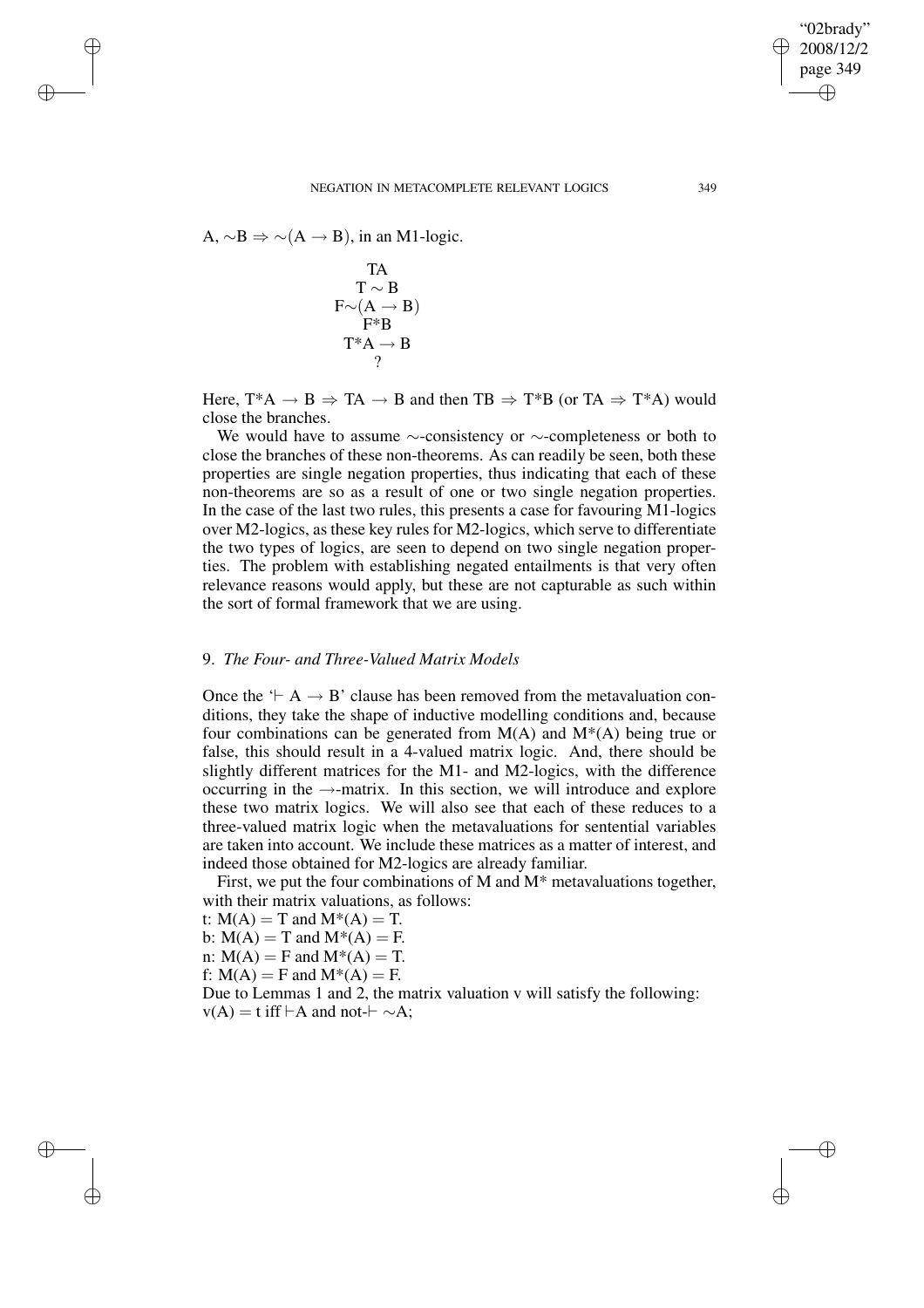"02brady"

✐

✐

A,  $\sim$ B  $\Rightarrow$   $\sim$  (A  $\rightarrow$  B), in an M1-logic.

✐

✐

✐

✐

TA  $T \sim B$  $F\mathord{\sim}(A \to B)$ F\*B  $T^*A \rightarrow B$ ?

Here,  $T^*A \rightarrow B \Rightarrow TA \rightarrow B$  and then  $TB \Rightarrow T^*B$  (or  $TA \Rightarrow T^*A$ ) would close the branches.

We would have to assume ∼-consistency or ∼-completeness or both to close the branches of these non-theorems. As can readily be seen, both these properties are single negation properties, thus indicating that each of these non-theorems are so as a result of one or two single negation properties. In the case of the last two rules, this presents a case for favouring M1-logics over M2-logics, as these key rules for M2-logics, which serve to differentiate the two types of logics, are seen to depend on two single negation properties. The problem with establishing negated entailments is that very often relevance reasons would apply, but these are not capturable as such within the sort of formal framework that we are using.

# 9. *The Four- and Three-Valued Matrix Models*

Once the  $\vdash A \rightarrow B'$  clause has been removed from the metavaluation conditions, they take the shape of inductive modelling conditions and, because four combinations can be generated from  $M(A)$  and  $M^*(A)$  being true or false, this should result in a 4-valued matrix logic. And, there should be slightly different matrices for the M1- and M2-logics, with the difference occurring in the →-matrix. In this section, we will introduce and explore these two matrix logics. We will also see that each of these reduces to a three-valued matrix logic when the metavaluations for sentential variables are taken into account. We include these matrices as a matter of interest, and indeed those obtained for M2-logics are already familiar.

First, we put the four combinations of M and M\* metavaluations together, with their matrix valuations, as follows:

t:  $M(A) = T$  and  $M^*(A) = T$ .

b:  $M(A) = T$  and  $M^*(A) = F$ .

n:  $M(A) = F$  and  $M^*(A) = T$ .

f:  $M(A) = F$  and  $M^*(A) = F$ .

Due to Lemmas 1 and 2, the matrix valuation v will satisfy the following:  $v(A) = t$  iff  $\vdash A$  and not- $\vdash \sim A$ ;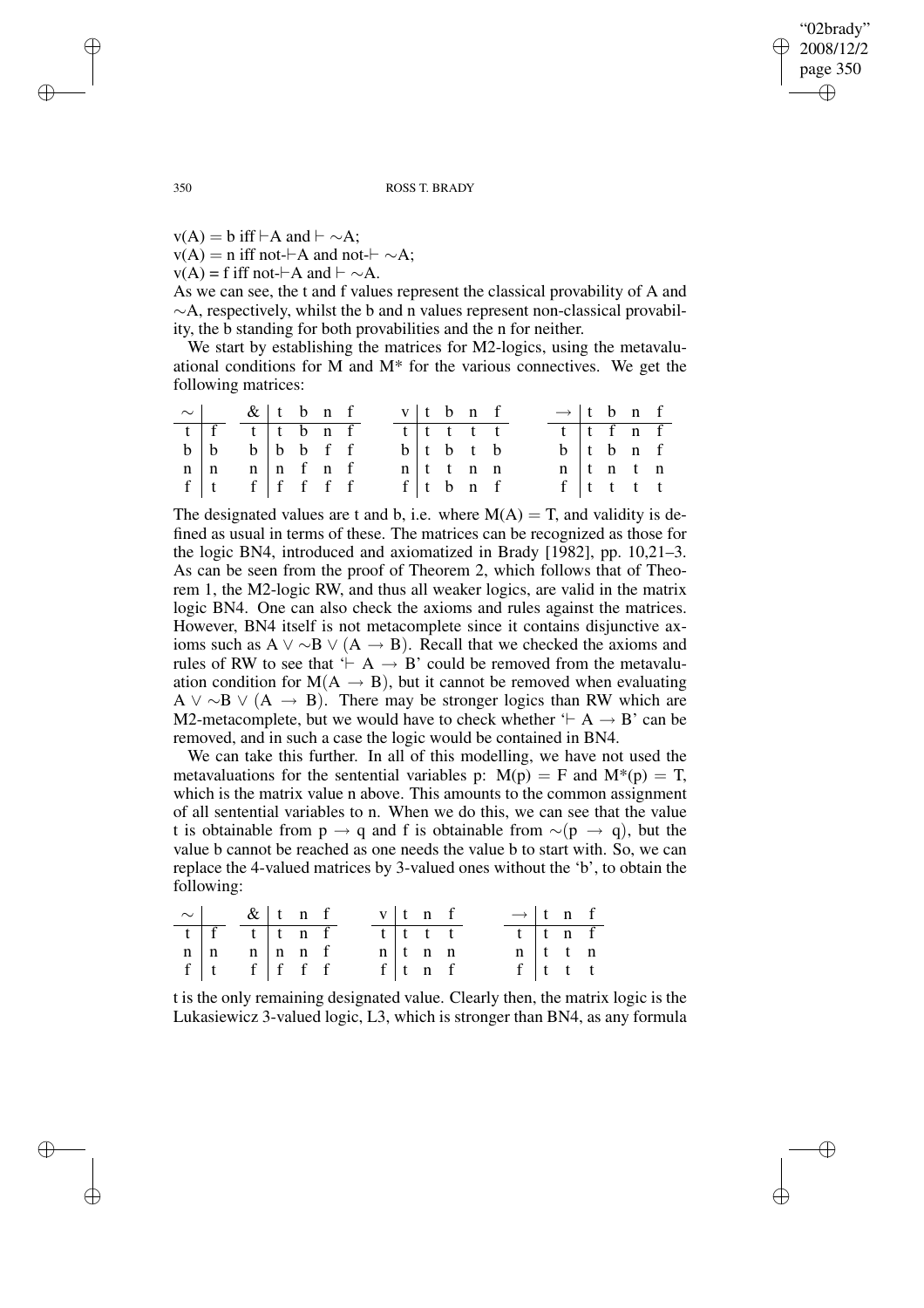"02brady" 2008/12/2 page 350 ✐ ✐

✐

✐

350 ROSS T. BRADY

 $v(A) = b$  iff  $\vdash A$  and  $\vdash \sim A$ ; v(A) = n iff not- $\vdash$ A and not- $\vdash \sim$ A;  $v(A) = f$  iff not- $\vdash A$  and  $\vdash \sim A$ .

As we can see, the t and f values represent the classical provability of A and ∼A, respectively, whilst the b and n values represent non-classical provability, the b standing for both provabilities and the n for neither.

We start by establishing the matrices for M2-logics, using the metavaluational conditions for M and M\* for the various connectives. We get the following matrices:

| $\sim$ & t b n f                                                                                                            |  |  |  | v t b n f |  |                                 |  | $\rightarrow$ t b n f               |  |  |
|-----------------------------------------------------------------------------------------------------------------------------|--|--|--|-----------|--|---------------------------------|--|-------------------------------------|--|--|
| $t$ $\overline{f}$ $\overline{t}$ $\overline{t}$ $\overline{t}$ $\overline{t}$ $\overline{b}$ $\overline{n}$ $\overline{f}$ |  |  |  | tt tt t   |  |                                 |  | $t$ t f n f                         |  |  |
| $b \mid b$ $b \mid b$ $b$ f f                                                                                               |  |  |  |           |  | $b$ t b t b                     |  | $b$ t $b$ n f                       |  |  |
| $n \mid n$ $n \mid n$ f n f                                                                                                 |  |  |  |           |  | $n \mid t \mid t \mid n \mid n$ |  | $n \mid t \mid n \mid t \mid n$     |  |  |
| $f \mid t \quad f \mid f \quad f \quad f \quad f$                                                                           |  |  |  |           |  | $f \mid t \mid b \mid n \mid f$ |  | $f \vert t \vert t \vert t \vert t$ |  |  |

The designated values are t and b, i.e. where  $M(A) = T$ , and validity is defined as usual in terms of these. The matrices can be recognized as those for the logic BN4, introduced and axiomatized in Brady [1982], pp. 10,21–3. As can be seen from the proof of Theorem 2, which follows that of Theorem 1, the M2-logic RW, and thus all weaker logics, are valid in the matrix logic BN4. One can also check the axioms and rules against the matrices. However, BN4 itself is not metacomplete since it contains disjunctive axioms such as A  $\vee \sim B \vee (A \rightarrow B)$ . Recall that we checked the axioms and rules of RW to see that  $\vdash A \rightarrow B'$  could be removed from the metavaluation condition for  $M(A \rightarrow B)$ , but it cannot be removed when evaluating A  $\vee \sim$ B  $\vee$  (A  $\rightarrow$  B). There may be stronger logics than RW which are M2-metacomplete, but we would have to check whether  $\vdash A \rightarrow B'$  can be removed, and in such a case the logic would be contained in BN4.

We can take this further. In all of this modelling, we have not used the metavaluations for the sentential variables p:  $M(p) = F$  and  $M^*(p) = T$ , which is the matrix value n above. This amounts to the common assignment of all sentential variables to n. When we do this, we can see that the value t is obtainable from p  $\rightarrow$  q and f is obtainable from  $\sim$ (p  $\rightarrow$  q), but the value b cannot be reached as one needs the value b to start with. So, we can replace the 4-valued matrices by 3-valued ones without the 'b', to obtain the following:

|            | $\sim$   &   t n f                                       |  |  |         | $v \mid t$ n f           |  | $\rightarrow$ t n f      |                          |  |
|------------|----------------------------------------------------------|--|--|---------|--------------------------|--|--------------------------|--------------------------|--|
|            | $t$ f t t n f                                            |  |  | t t t t |                          |  | $t$ $t$ $n$ $f$          |                          |  |
| $n \mid n$ | $\begin{array}{c cc} n & n & f \\ f & f & f \end{array}$ |  |  |         | $n \mid t \mid n \mid n$ |  | $n \mid t \mid t \mid n$ |                          |  |
| $f \mid t$ |                                                          |  |  |         | $f$ t n f                |  |                          | $f \mid t \mid t \mid t$ |  |

t is the only remaining designated value. Clearly then, the matrix logic is the Lukasiewicz 3-valued logic, L3, which is stronger than BN4, as any formula

✐

✐

✐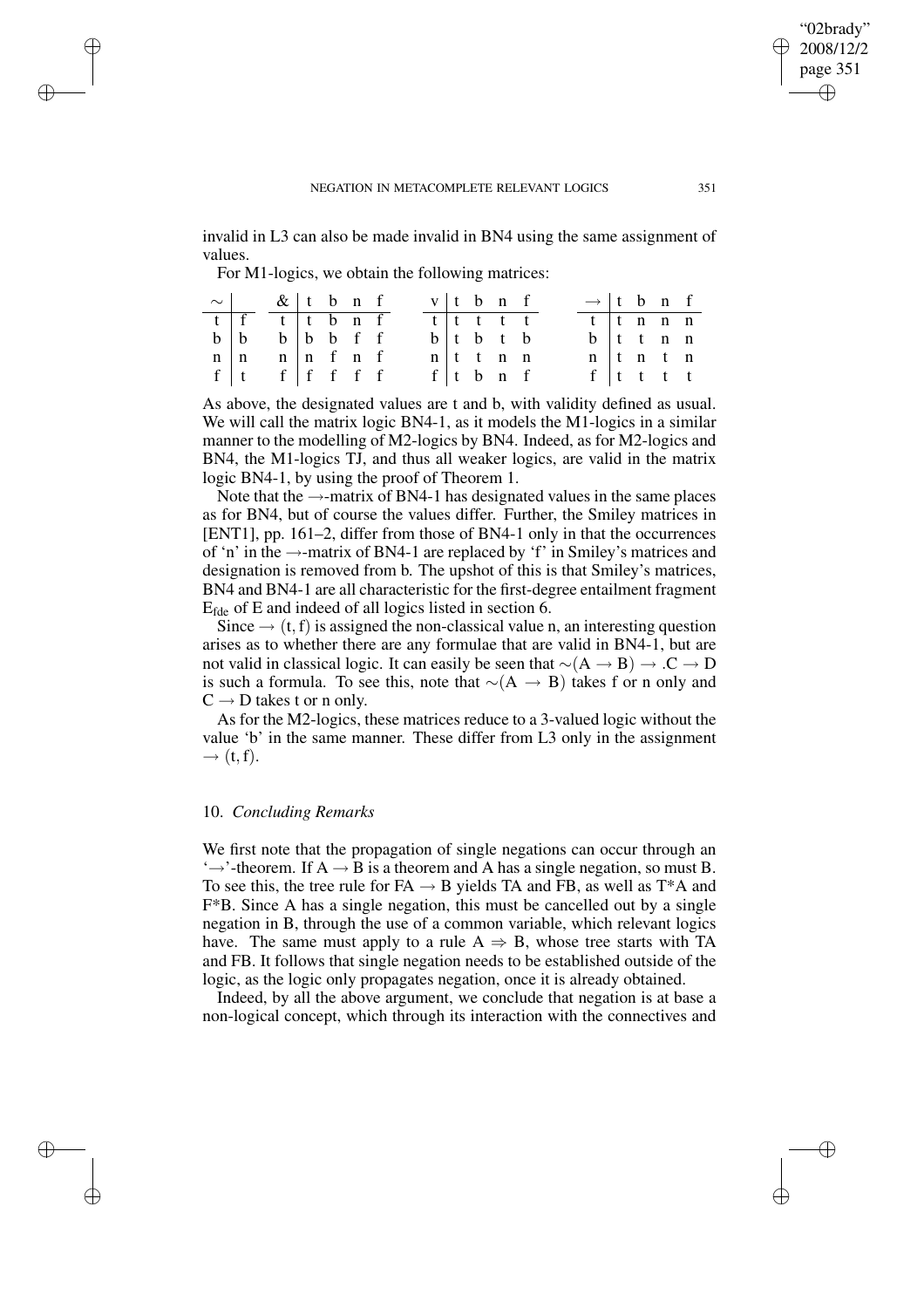invalid in L3 can also be made invalid in BN4 using the same assignment of values.

For M1-logics, we obtain the following matrices:

✐

✐

✐

✐

| $\sim$ & t b n f                                                                              |  |  |  |  | $v \mid t \mid b \mid n \mid f$ |  | $\rightarrow$ t b n f           |  |  |
|-----------------------------------------------------------------------------------------------|--|--|--|--|---------------------------------|--|---------------------------------|--|--|
| $t$ $\overline{f}$ $\overline{t}$ $\overline{t}$ $\overline{b}$ $\overline{n}$ $\overline{f}$ |  |  |  |  | $\overline{t}$ t t t t          |  | $t$ $t$ $n$ $n$ $n$             |  |  |
| $b \mid b$ $b \mid b$ $b$ if                                                                  |  |  |  |  | $b$ t b t b                     |  | $b$ ttnn                        |  |  |
| $n \mid n$ $n \mid n$ f n f                                                                   |  |  |  |  | $n$ t t n n                     |  | $n \mid t \mid n \mid t \mid n$ |  |  |
| $f \mid t \quad f \mid f \quad f \quad f \quad f$                                             |  |  |  |  | $f \vert t$ b n f               |  | $f$ tttt                        |  |  |

As above, the designated values are t and b, with validity defined as usual. We will call the matrix logic BN4-1, as it models the M1-logics in a similar manner to the modelling of M2-logics by BN4. Indeed, as for M2-logics and BN4, the M1-logics TJ, and thus all weaker logics, are valid in the matrix logic BN4-1, by using the proof of Theorem 1.

Note that the  $\rightarrow$ -matrix of BN4-1 has designated values in the same places as for BN4, but of course the values differ. Further, the Smiley matrices in [ENT1], pp. 161–2, differ from those of BN4-1 only in that the occurrences of 'n' in the  $\rightarrow$ -matrix of BN4-1 are replaced by 'f' in Smiley's matrices and designation is removed from b. The upshot of this is that Smiley's matrices, BN4 and BN4-1 are all characteristic for the first-degree entailment fragment Efde of E and indeed of all logics listed in section 6.

Since  $\rightarrow$  (t, f) is assigned the non-classical value n, an interesting question arises as to whether there are any formulae that are valid in BN4-1, but are not valid in classical logic. It can easily be seen that  $∼(A → B) → .C → D$ is such a formula. To see this, note that  $\sim(A \rightarrow B)$  takes f or n only and  $C \rightarrow D$  takes t or n only.

As for the M2-logics, these matrices reduce to a 3-valued logic without the value 'b' in the same manner. These differ from L3 only in the assignment  $\rightarrow$  (t, f).

# 10. *Concluding Remarks*

We first note that the propagation of single negations can occur through an  $\rightarrow$ -theorem. If A  $\rightarrow$  B is a theorem and A has a single negation, so must B. To see this, the tree rule for  $FA \rightarrow B$  yields TA and FB, as well as T<sup>\*</sup>A and F\*B. Since A has a single negation, this must be cancelled out by a single negation in B, through the use of a common variable, which relevant logics have. The same must apply to a rule  $A \Rightarrow B$ , whose tree starts with TA and FB. It follows that single negation needs to be established outside of the logic, as the logic only propagates negation, once it is already obtained.

Indeed, by all the above argument, we conclude that negation is at base a non-logical concept, which through its interaction with the connectives and

"02brady" 2008/12/2 page 351

✐

✐

✐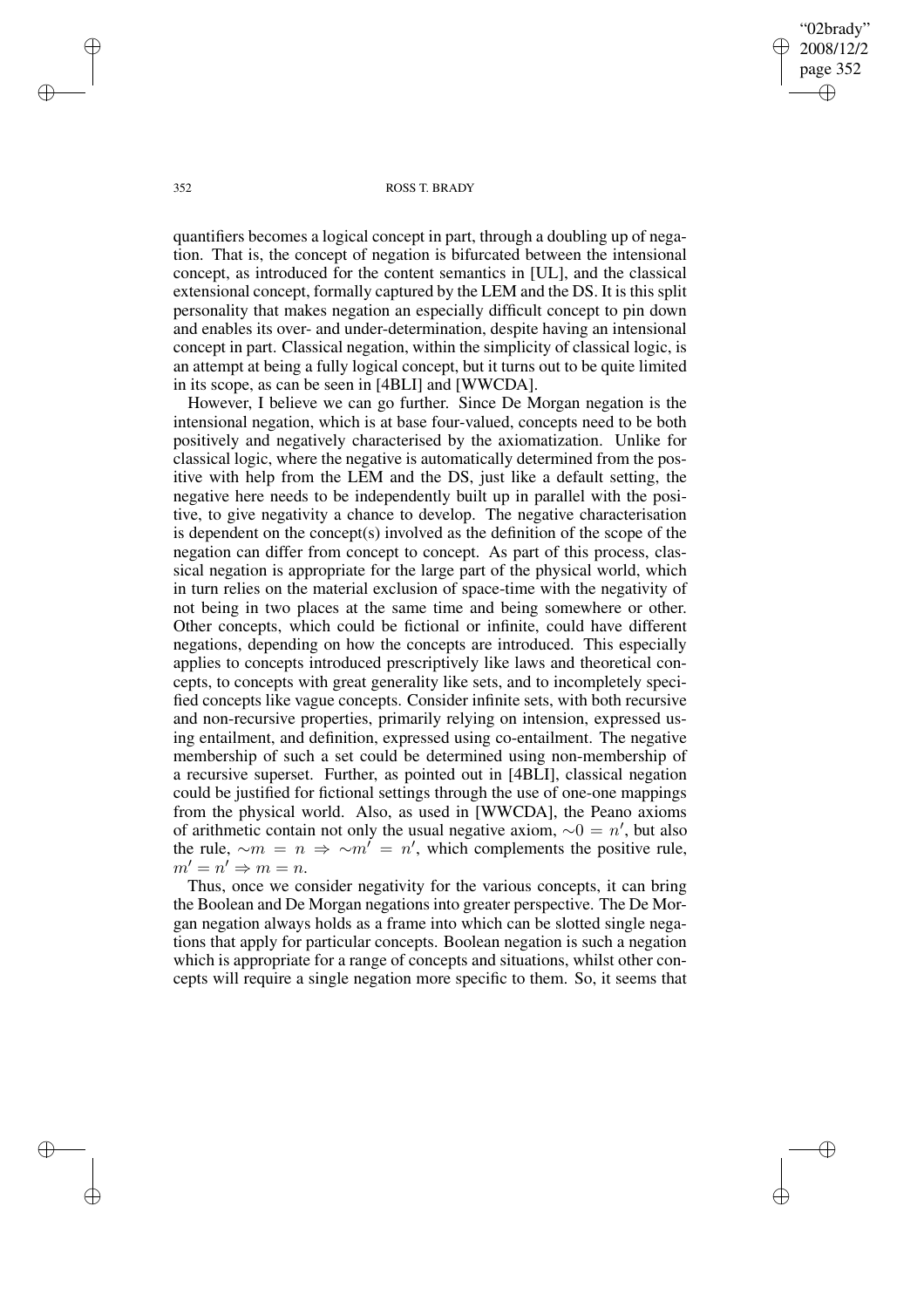"02brady" 2008/12/2 page 352 ✐ ✐

✐

✐

## 352 ROSS T. BRADY

quantifiers becomes a logical concept in part, through a doubling up of negation. That is, the concept of negation is bifurcated between the intensional concept, as introduced for the content semantics in [UL], and the classical extensional concept, formally captured by the LEM and the DS. It is this split personality that makes negation an especially difficult concept to pin down and enables its over- and under-determination, despite having an intensional concept in part. Classical negation, within the simplicity of classical logic, is an attempt at being a fully logical concept, but it turns out to be quite limited in its scope, as can be seen in [4BLI] and [WWCDA].

However, I believe we can go further. Since De Morgan negation is the intensional negation, which is at base four-valued, concepts need to be both positively and negatively characterised by the axiomatization. Unlike for classical logic, where the negative is automatically determined from the positive with help from the LEM and the DS, just like a default setting, the negative here needs to be independently built up in parallel with the positive, to give negativity a chance to develop. The negative characterisation is dependent on the concept(s) involved as the definition of the scope of the negation can differ from concept to concept. As part of this process, classical negation is appropriate for the large part of the physical world, which in turn relies on the material exclusion of space-time with the negativity of not being in two places at the same time and being somewhere or other. Other concepts, which could be fictional or infinite, could have different negations, depending on how the concepts are introduced. This especially applies to concepts introduced prescriptively like laws and theoretical concepts, to concepts with great generality like sets, and to incompletely specified concepts like vague concepts. Consider infinite sets, with both recursive and non-recursive properties, primarily relying on intension, expressed using entailment, and definition, expressed using co-entailment. The negative membership of such a set could be determined using non-membership of a recursive superset. Further, as pointed out in [4BLI], classical negation could be justified for fictional settings through the use of one-one mappings from the physical world. Also, as used in [WWCDA], the Peano axioms of arithmetic contain not only the usual negative axiom,  $\sim 0 = n'$ , but also the rule,  $\sim m = n \Rightarrow \sim m' = n'$ , which complements the positive rule,  $m' = n' \Rightarrow m = n.$ 

Thus, once we consider negativity for the various concepts, it can bring the Boolean and De Morgan negations into greater perspective. The De Morgan negation always holds as a frame into which can be slotted single negations that apply for particular concepts. Boolean negation is such a negation which is appropriate for a range of concepts and situations, whilst other concepts will require a single negation more specific to them. So, it seems that

✐

✐

✐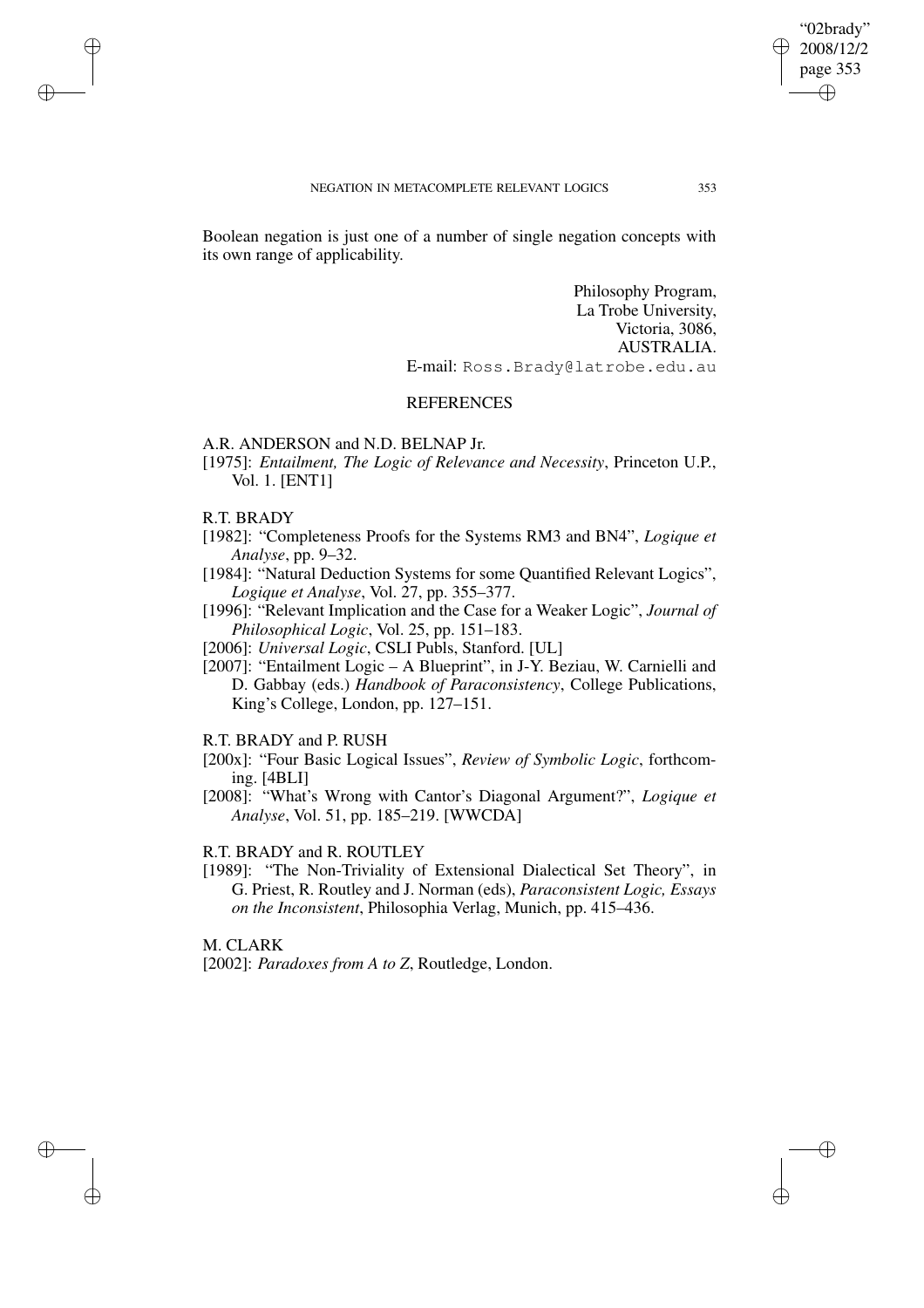Boolean negation is just one of a number of single negation concepts with its own range of applicability.

> Philosophy Program, La Trobe University, Victoria, 3086, AUSTRALIA. E-mail: Ross.Brady@latrobe.edu.au

# **REFERENCES**

## A.R. ANDERSON and N.D. BELNAP Jr.

[1975]: *Entailment, The Logic of Relevance and Necessity*, Princeton U.P., Vol. 1. [ENT1]

## R.T. BRADY

✐

✐

✐

✐

- [1982]: "Completeness Proofs for the Systems RM3 and BN4", *Logique et Analyse*, pp. 9–32.
- [1984]: "Natural Deduction Systems for some Quantified Relevant Logics", *Logique et Analyse*, Vol. 27, pp. 355–377.
- [1996]: "Relevant Implication and the Case for a Weaker Logic", *Journal of Philosophical Logic*, Vol. 25, pp. 151–183.

[2006]: *Universal Logic*, CSLI Publs, Stanford. [UL]

[2007]: "Entailment Logic – A Blueprint", in J-Y. Beziau, W. Carnielli and D. Gabbay (eds.) *Handbook of Paraconsistency*, College Publications, King's College, London, pp. 127–151.

R.T. BRADY and P. RUSH

- [200x]: "Four Basic Logical Issues", *Review of Symbolic Logic*, forthcoming. [4BLI]
- [2008]: "What's Wrong with Cantor's Diagonal Argument?", *Logique et Analyse*, Vol. 51, pp. 185–219. [WWCDA]

# R.T. BRADY and R. ROUTLEY

[1989]: "The Non-Triviality of Extensional Dialectical Set Theory", in G. Priest, R. Routley and J. Norman (eds), *Paraconsistent Logic, Essays on the Inconsistent*, Philosophia Verlag, Munich, pp. 415–436.

M. CLARK

[2002]: *Paradoxes from A to Z*, Routledge, London.

"02brady" 2008/12/2 page 353

✐

✐

✐